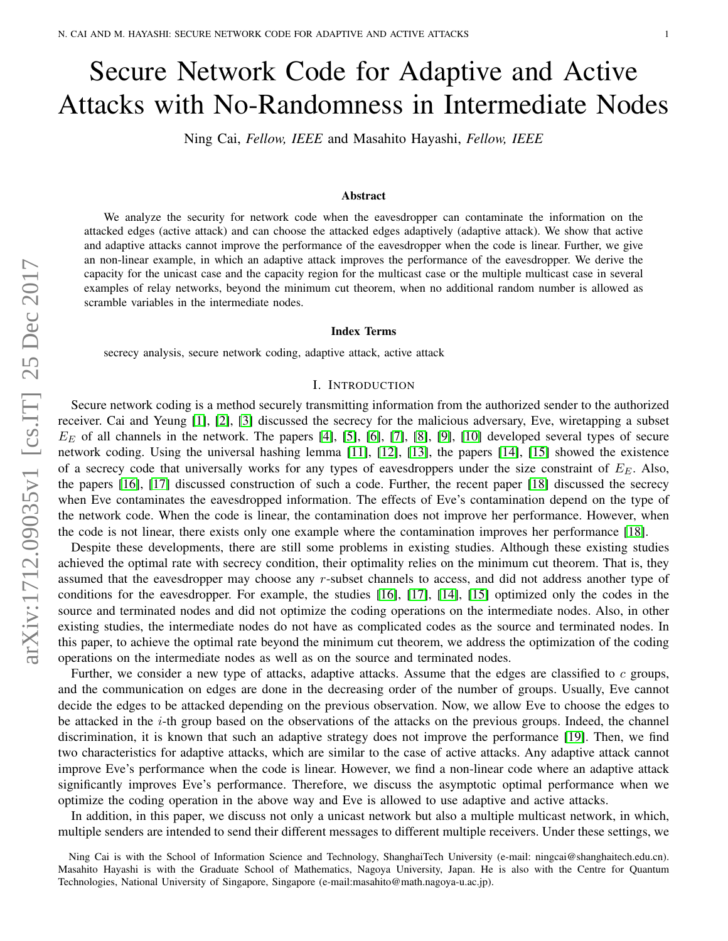# Secure Network Code for Adaptive and Active Attacks with No-Randomness in Intermediate Nodes

Ning Cai, *Fellow, IEEE* and Masahito Hayashi, *Fellow, IEEE*

## Abstract

We analyze the security for network code when the eavesdropper can contaminate the information on the attacked edges (active attack) and can choose the attacked edges adaptively (adaptive attack). We show that active and adaptive attacks cannot improve the performance of the eavesdropper when the code is linear. Further, we give an non-linear example, in which an adaptive attack improves the performance of the eavesdropper. We derive the capacity for the unicast case and the capacity region for the multicast case or the multiple multicast case in several examples of relay networks, beyond the minimum cut theorem, when no additional random number is allowed as scramble variables in the intermediate nodes.

## Index Terms

secrecy analysis, secure network coding, adaptive attack, active attack

# I. INTRODUCTION

<span id="page-0-0"></span>Secure network coding is a method securely transmitting information from the authorized sender to the authorized receiver. Cai and Yeung [\[1\]](#page-21-0), [\[2\]](#page-21-1), [\[3\]](#page-21-2) discussed the secrecy for the malicious adversary, Eve, wiretapping a subset  $E<sub>E</sub>$  of all channels in the network. The papers [\[4\]](#page-21-3), [\[5\]](#page-21-4), [\[6\]](#page-21-5), [\[7\]](#page-21-6), [\[8\]](#page-21-7), [\[9\]](#page-21-8), [\[10\]](#page-21-9) developed several types of secure network coding. Using the universal hashing lemma [\[11\]](#page-21-10), [\[12\]](#page-21-11), [\[13\]](#page-22-0), the papers [\[14\]](#page-22-1), [\[15\]](#page-22-2) showed the existence of a secrecy code that universally works for any types of eavesdroppers under the size constraint of  $E<sub>E</sub>$ . Also, the papers [\[16\]](#page-22-3), [\[17\]](#page-22-4) discussed construction of such a code. Further, the recent paper [\[18\]](#page-22-5) discussed the secrecy when Eve contaminates the eavesdropped information. The effects of Eve's contamination depend on the type of the network code. When the code is linear, the contamination does not improve her performance. However, when the code is not linear, there exists only one example where the contamination improves her performance [\[18\]](#page-22-5).

Despite these developments, there are still some problems in existing studies. Although these existing studies achieved the optimal rate with secrecy condition, their optimality relies on the minimum cut theorem. That is, they assumed that the eavesdropper may choose any r-subset channels to access, and did not address another type of conditions for the eavesdropper. For example, the studies [\[16\]](#page-22-3), [\[17\]](#page-22-4), [\[14\]](#page-22-1), [\[15\]](#page-22-2) optimized only the codes in the source and terminated nodes and did not optimize the coding operations on the intermediate nodes. Also, in other existing studies, the intermediate nodes do not have as complicated codes as the source and terminated nodes. In this paper, to achieve the optimal rate beyond the minimum cut theorem, we address the optimization of the coding operations on the intermediate nodes as well as on the source and terminated nodes.

Further, we consider a new type of attacks, adaptive attacks. Assume that the edges are classified to  $c$  groups, and the communication on edges are done in the decreasing order of the number of groups. Usually, Eve cannot decide the edges to be attacked depending on the previous observation. Now, we allow Eve to choose the edges to be attacked in the i-th group based on the observations of the attacks on the previous groups. Indeed, the channel discrimination, it is known that such an adaptive strategy does not improve the performance [\[19\]](#page-22-6). Then, we find two characteristics for adaptive attacks, which are similar to the case of active attacks. Any adaptive attack cannot improve Eve's performance when the code is linear. However, we find a non-linear code where an adaptive attack significantly improves Eve's performance. Therefore, we discuss the asymptotic optimal performance when we optimize the coding operation in the above way and Eve is allowed to use adaptive and active attacks.

In addition, in this paper, we discuss not only a unicast network but also a multiple multicast network, in which, multiple senders are intended to send their different messages to different multiple receivers. Under these settings, we

Ning Cai is with the School of Information Science and Technology, ShanghaiTech University (e-mail: ningcai@shanghaitech.edu.cn). Masahito Hayashi is with the Graduate School of Mathematics, Nagoya University, Japan. He is also with the Centre for Quantum Technologies, National University of Singapore, Singapore (e-mail:masahito@math.nagoya-u.ac.jp).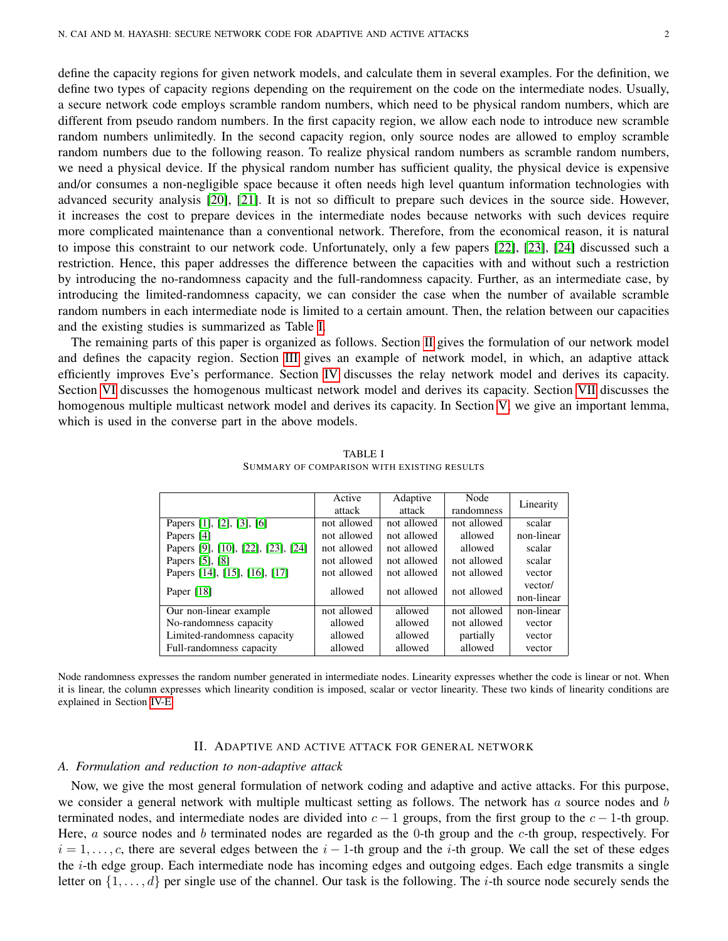define the capacity regions for given network models, and calculate them in several examples. For the definition, we define two types of capacity regions depending on the requirement on the code on the intermediate nodes. Usually, a secure network code employs scramble random numbers, which need to be physical random numbers, which are different from pseudo random numbers. In the first capacity region, we allow each node to introduce new scramble random numbers unlimitedly. In the second capacity region, only source nodes are allowed to employ scramble random numbers due to the following reason. To realize physical random numbers as scramble random numbers, we need a physical device. If the physical random number has sufficient quality, the physical device is expensive and/or consumes a non-negligible space because it often needs high level quantum information technologies with advanced security analysis [\[20\]](#page-22-7), [\[21\]](#page-22-8). It is not so difficult to prepare such devices in the source side. However, it increases the cost to prepare devices in the intermediate nodes because networks with such devices require more complicated maintenance than a conventional network. Therefore, from the economical reason, it is natural to impose this constraint to our network code. Unfortunately, only a few papers [\[22\]](#page-22-9), [\[23\]](#page-22-10), [\[24\]](#page-22-11) discussed such a restriction. Hence, this paper addresses the difference between the capacities with and without such a restriction by introducing the no-randomness capacity and the full-randomness capacity. Further, as an intermediate case, by introducing the limited-randomness capacity, we can consider the case when the number of available scramble random numbers in each intermediate node is limited to a certain amount. Then, the relation between our capacities and the existing studies is summarized as Table [I.](#page-1-0)

The remaining parts of this paper is organized as follows. Section [II](#page-1-1) gives the formulation of our network model and defines the capacity region. Section [III](#page-6-0) gives an example of network model, in which, an adaptive attack efficiently improves Eve's performance. Section [IV](#page-7-0) discusses the relay network model and derives its capacity. Section [VI](#page-14-0) discusses the homogenous multicast network model and derives its capacity. Section [VII](#page-17-0) discusses the homogenous multiple multicast network model and derives its capacity. In Section [V,](#page-13-0) we give an important lemma, which is used in the converse part in the above models.

<span id="page-1-0"></span>

|                                    | Active      | Adaptive    | Node        | Linearity  |
|------------------------------------|-------------|-------------|-------------|------------|
|                                    | attack      | attack      | randomness  |            |
| Papers [1], [2], [3], [6]          | not allowed | not allowed | not allowed | scalar     |
| Papers [4]                         | not allowed | not allowed | allowed     | non-linear |
| Papers [9], [10], [22], [23], [24] | not allowed | not allowed | allowed     | scalar     |
| Papers [5], [8]                    | not allowed | not allowed | not allowed | scalar     |
| Papers [14], [15], [16], [17]      | not allowed | not allowed | not allowed | vector     |
| Paper $[18]$                       | allowed     | not allowed | not allowed | vector/    |
|                                    |             |             |             | non-linear |
| Our non-linear example             | not allowed | allowed     | not allowed | non-linear |
| No-randomness capacity             | allowed     | allowed     | not allowed | vector     |
| Limited-randomness capacity        | allowed     | allowed     | partially   | vector     |
| Full-randomness capacity           | allowed     | allowed     | allowed     | vector     |

TABLE I SUMMARY OF COMPARISON WITH EXISTING RESULTS

Node randomness expresses the random number generated in intermediate nodes. Linearity expresses whether the code is linear or not. When it is linear, the column expresses which linearity condition is imposed, scalar or vector linearity. These two kinds of linearity conditions are explained in Section [IV-E.](#page-12-0)

# II. ADAPTIVE AND ACTIVE ATTACK FOR GENERAL NETWORK

# <span id="page-1-1"></span>*A. Formulation and reduction to non-adaptive attack*

Now, we give the most general formulation of network coding and adaptive and active attacks. For this purpose, we consider a general network with multiple multicast setting as follows. The network has  $a$  source nodes and  $b$ terminated nodes, and intermediate nodes are divided into  $c - 1$  groups, from the first group to the  $c - 1$ -th group. Here, a source nodes and b terminated nodes are regarded as the 0-th group and the  $c$ -th group, respectively. For  $i = 1, \ldots, c$ , there are several edges between the  $i - 1$ -th group and the i-th group. We call the set of these edges the i-th edge group. Each intermediate node has incoming edges and outgoing edges. Each edge transmits a single letter on  $\{1, \ldots, d\}$  per single use of the channel. Our task is the following. The *i*-th source node securely sends the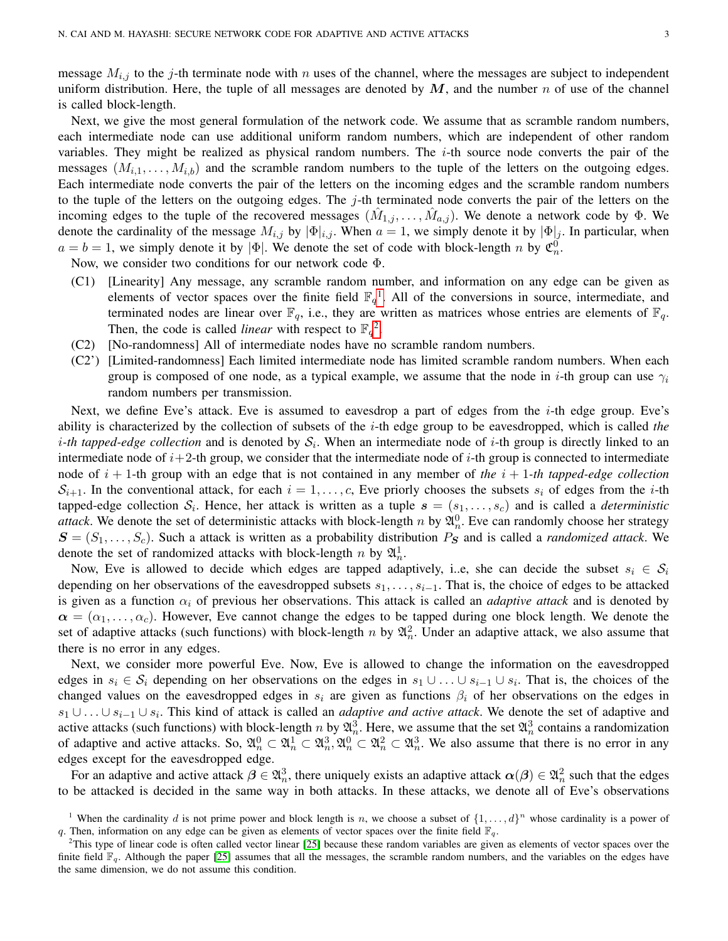message  $M_{i,j}$  to the j-th terminate node with n uses of the channel, where the messages are subject to independent uniform distribution. Here, the tuple of all messages are denoted by  $M$ , and the number n of use of the channel is called block-length.

Next, we give the most general formulation of the network code. We assume that as scramble random numbers, each intermediate node can use additional uniform random numbers, which are independent of other random variables. They might be realized as physical random numbers. The  $i$ -th source node converts the pair of the messages  $(M_{i,1},...,M_{i,b})$  and the scramble random numbers to the tuple of the letters on the outgoing edges. Each intermediate node converts the pair of the letters on the incoming edges and the scramble random numbers to the tuple of the letters on the outgoing edges. The  $j$ -th terminated node converts the pair of the letters on the incoming edges to the tuple of the recovered messages  $(\hat{M}_{1,j},\ldots,\hat{M}_{a,j})$ . We denote a network code by  $\Phi$ . We denote the cardinality of the message  $M_{i,j}$  by  $|\Phi|_{i,j}$ . When  $a = 1$ , we simply denote it by  $|\Phi|_j$ . In particular, when  $a = b = 1$ , we simply denote it by  $|\Phi|$ . We denote the set of code with block-length n by  $\mathfrak{C}_n^0$ .

Now, we consider two conditions for our network code Φ.

- (C1) [Linearity] Any message, any scramble random number, and information on any edge can be given as elements of vector spaces over the finite field  $\mathbb{F}_q$ <sup>[1](#page-2-0)</sup>. All of the conversions in source, intermediate, and terminated nodes are linear over  $\mathbb{F}_q$ , i.e., they are written as matrices whose entries are elements of  $\mathbb{F}_q$ . Then, the code is called *linear* with respect to  $\mathbb{F}_q^2$  $\mathbb{F}_q^2$ .
- (C2) [No-randomness] All of intermediate nodes have no scramble random numbers.
- (C2') [Limited-randomness] Each limited intermediate node has limited scramble random numbers. When each group is composed of one node, as a typical example, we assume that the node in i-th group can use  $\gamma_i$ random numbers per transmission.

Next, we define Eve's attack. Eve is assumed to eavesdrop a part of edges from the i-th edge group. Eve's ability is characterized by the collection of subsets of the i-th edge group to be eavesdropped, which is called *the i*-th tapped-edge collection and is denoted by  $S_i$ . When an intermediate node of *i*-th group is directly linked to an intermediate node of  $i+2$ -th group, we consider that the intermediate node of i-th group is connected to intermediate node of  $i + 1$ -th group with an edge that is not contained in any member of *the*  $i + 1$ -th tapped-edge collection  $S_{i+1}$ . In the conventional attack, for each  $i = 1, \ldots, c$ , Eve priorly chooses the subsets  $s_i$  of edges from the *i*-th tapped-edge collection  $S_i$ . Hence, her attack is written as a tuple  $s = (s_1, \ldots, s_c)$  and is called a *deterministic attack*. We denote the set of deterministic attacks with block-length n by  $\mathfrak{A}_n^0$ . Eve can randomly choose her strategy  $S = (S_1, \ldots, S_c)$ . Such a attack is written as a probability distribution  $P_S$  and is called a *randomized attack*. We denote the set of randomized attacks with block-length n by  $\mathfrak{A}^1_n$ .

Now, Eve is allowed to decide which edges are tapped adaptively, i..e, she can decide the subset  $s_i \in S_i$ depending on her observations of the eavesdropped subsets  $s_1, \ldots, s_{i-1}$ . That is, the choice of edges to be attacked is given as a function  $\alpha_i$  of previous her observations. This attack is called an *adaptive attack* and is denoted by  $\alpha = (\alpha_1, \dots, \alpha_c)$ . However, Eve cannot change the edges to be tapped during one block length. We denote the set of adaptive attacks (such functions) with block-length n by  $\mathfrak{A}_n^2$ . Under an adaptive attack, we also assume that there is no error in any edges.

Next, we consider more powerful Eve. Now, Eve is allowed to change the information on the eavesdropped edges in  $s_i \in S_i$  depending on her observations on the edges in  $s_1 \cup \ldots \cup s_{i-1} \cup s_i$ . That is, the choices of the changed values on the eavesdropped edges in  $s_i$  are given as functions  $\beta_i$  of her observations on the edges in  $s_1 \cup \ldots \cup s_{i-1} \cup s_i$ . This kind of attack is called an *adaptive and active attack*. We denote the set of adaptive and active attacks (such functions) with block-length n by  $\mathfrak{A}_n^3$ . Here, we assume that the set  $\mathfrak{A}_n^3$  contains a randomization of adaptive and active attacks. So,  $\mathfrak{A}_n^0 \subset \mathfrak{A}_n^1 \subset \mathfrak{A}_n^3, \mathfrak{A}_n^0 \subset \mathfrak{A}_n^2 \subset \mathfrak{A}_n^3$ . We also assume that there is no error in any edges except for the eavesdropped edge.

For an adaptive and active attack  $\beta \in \mathfrak{A}_n^3$ , there uniquely exists an adaptive attack  $\alpha(\beta) \in \mathfrak{A}_n^2$  such that the edges to be attacked is decided in the same way in both attacks. In these attacks, we denote all of Eve's observations

<span id="page-2-0"></span><sup>&</sup>lt;sup>1</sup> When the cardinality d is not prime power and block length is n, we choose a subset of  $\{1,\ldots,d\}^n$  whose cardinality is a power of q. Then, information on any edge can be given as elements of vector spaces over the finite field  $\mathbb{F}_q$ .

<span id="page-2-1"></span> $2$ This type of linear code is often called vector linear [\[25\]](#page-22-12) because these random variables are given as elements of vector spaces over the finite field  $\mathbb{F}_q$ . Although the paper [\[25\]](#page-22-12) assumes that all the messages, the scramble random numbers, and the variables on the edges have the same dimension, we do not assume this condition.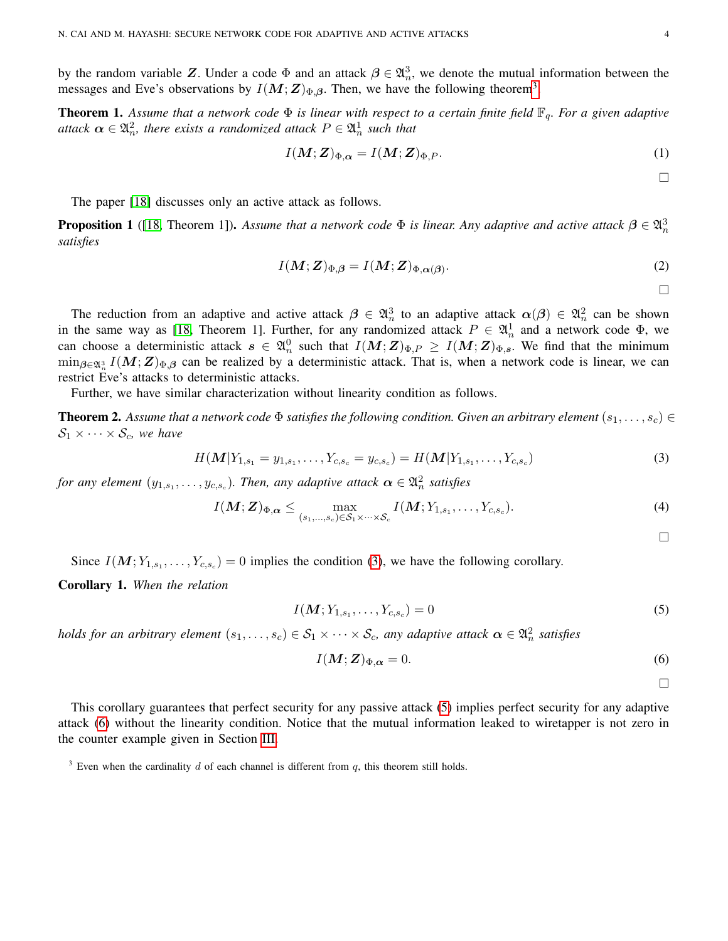by the random variable Z. Under a code  $\Phi$  and an attack  $\beta \in \mathfrak{A}_n^3$ , we denote the mutual information between the messages and Eve's observations by  $I(M;Z)_{\Phi,\beta}$ . Then, we have the following theorem<sup>[3](#page-3-0)</sup>.

<span id="page-3-4"></span>**Theorem 1.** Assume that a network code  $\Phi$  is linear with respect to a certain finite field  $\mathbb{F}_q$ . For a given adaptive attack  $\boldsymbol{\alpha} \in \mathfrak{A}_n^2$ , there exists a randomized attack  $P \in \mathfrak{A}_n^1$  such that

$$
I(\boldsymbol{M};\boldsymbol{Z})_{\Phi,\boldsymbol{\alpha}} = I(\boldsymbol{M};\boldsymbol{Z})_{\Phi,P}.
$$
\n(1)

<span id="page-3-5"></span> $\Box$ 

The paper [\[18\]](#page-22-5) discusses only an active attack as follows.

**Proposition 1** ([\[18,](#page-22-5) Theorem 1]). Assume that a network code  $\Phi$  is linear. Any adaptive and active attack  $\beta \in \mathfrak{A}_n^3$ *satisfies*

$$
I(\mathbf{M}; \mathbf{Z})_{\Phi, \beta} = I(\mathbf{M}; \mathbf{Z})_{\Phi, \alpha(\beta)}.
$$
\n<sup>(2)</sup>

 $\Box$ 

The reduction from an adaptive and active attack  $\beta \in \mathfrak{A}_n^3$  to an adaptive attack  $\alpha(\beta) \in \mathfrak{A}_n^2$  can be shown in the same way as [\[18,](#page-22-5) Theorem 1]. Further, for any randomized attack  $P \in \mathfrak{A}_n^1$  and a network code  $\Phi$ , we can choose a deterministic attack  $s \in \mathfrak{A}_n^0$  such that  $I(M;Z)_{\Phi,P} \geq I(M;Z)_{\Phi,s}$ . We find that the minimum  $\min_{\beta \in \mathfrak{A}_n^3} I(M; \mathbf{Z})_{\Phi, \beta}$  can be realized by a deterministic attack. That is, when a network code is linear, we can restrict Eve's attacks to deterministic attacks.

Further, we have similar characterization without linearity condition as follows.

<span id="page-3-6"></span>**Theorem 2.** Assume that a network code  $\Phi$  satisfies the following condition. Given an arbitrary element  $(s_1, \ldots, s_c)$  $S_1 \times \cdots \times S_c$ , we have

$$
H(M|Y_{1,s_1} = y_{1,s_1}, \dots, Y_{c,s_c} = y_{c,s_c}) = H(M|Y_{1,s_1}, \dots, Y_{c,s_c})
$$
\n(3)

*for any element*  $(y_{1,s_1}, \ldots, y_{c,s_c})$ . Then, any adaptive attack  $\boldsymbol{\alpha} \in \mathfrak{A}_n^2$  satisfies

$$
I(\boldsymbol{M};\boldsymbol{Z})_{\Phi,\boldsymbol{\alpha}} \leq \max_{(s_1,\ldots,s_c)\in\mathcal{S}_1\times\cdots\times\mathcal{S}_c} I(\boldsymbol{M};Y_{1,s_1},\ldots,Y_{c,s_c}).
$$
\n(4)

<span id="page-3-7"></span><span id="page-3-2"></span><span id="page-3-1"></span> $\Box$ 

Since  $I(M; Y_{1,s_1}, \ldots, Y_{c,s_c}) = 0$  implies the condition [\(3\)](#page-3-1), we have the following corollary.

Corollary 1. *When the relation*

$$
I(M; Y_{1,s_1}, \dots, Y_{c,s_c}) = 0
$$
\n(5)

*holds for an arbitrary element*  $(s_1, \ldots, s_c) \in S_1 \times \cdots \times S_c$ , any adaptive attack  $\alpha \in \mathfrak{A}_n^2$  satisfies

$$
I(\mathbf{M}; \mathbf{Z})_{\Phi, \alpha} = 0. \tag{6}
$$

<span id="page-3-3"></span> $\Box$ 

This corollary guarantees that perfect security for any passive attack [\(5\)](#page-3-2) implies perfect security for any adaptive attack [\(6\)](#page-3-3) without the linearity condition. Notice that the mutual information leaked to wiretapper is not zero in the counter example given in Section [III.](#page-6-0)

<span id="page-3-0"></span><sup>3</sup> Even when the cardinality d of each channel is different from q, this theorem still holds.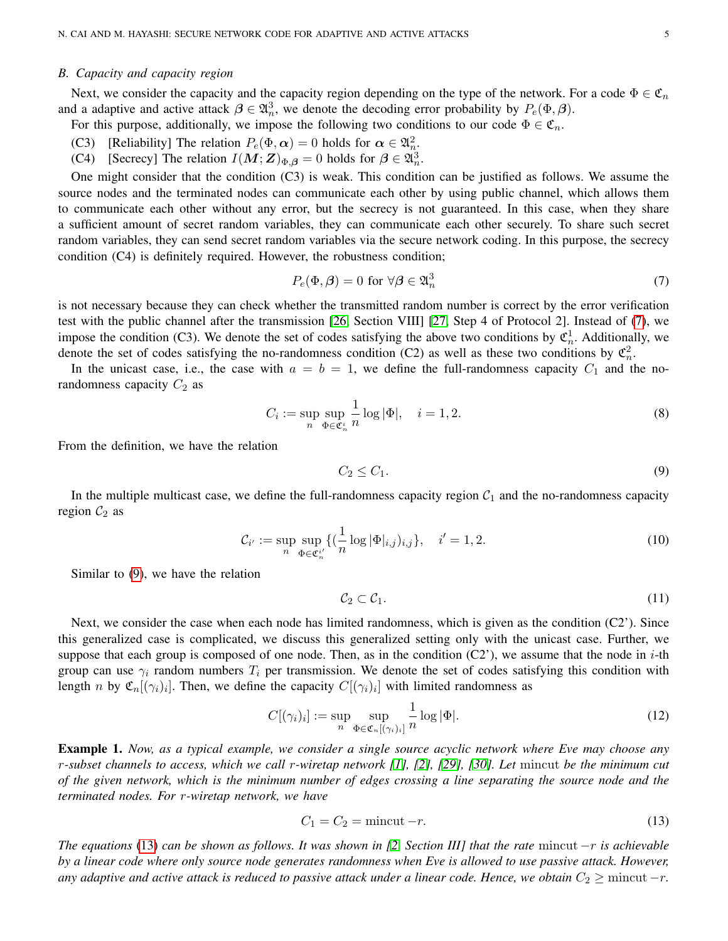## *B. Capacity and capacity region*

Next, we consider the capacity and the capacity region depending on the type of the network. For a code  $\Phi \in \mathfrak{C}_n$ and a adaptive and active attack  $\beta \in \mathfrak{A}_n^3$ , we denote the decoding error probability by  $P_e(\Phi, \beta)$ .

For this purpose, additionally, we impose the following two conditions to our code  $\Phi \in \mathfrak{C}_n$ .

- (C3) [Reliability] The relation  $P_e(\Phi, \alpha) = 0$  holds for  $\alpha \in \mathfrak{A}_n^2$ .
- (C4) [Secrecy] The relation  $I(M; Z)_{\Phi, \beta} = 0$  holds for  $\beta \in \mathfrak{A}_n^3$ .

One might consider that the condition (C3) is weak. This condition can be justified as follows. We assume the source nodes and the terminated nodes can communicate each other by using public channel, which allows them to communicate each other without any error, but the secrecy is not guaranteed. In this case, when they share a sufficient amount of secret random variables, they can communicate each other securely. To share such secret random variables, they can send secret random variables via the secure network coding. In this purpose, the secrecy condition (C4) is definitely required. However, the robustness condition;

<span id="page-4-0"></span>
$$
P_e(\Phi, \beta) = 0 \text{ for } \forall \beta \in \mathfrak{A}_n^3 \tag{7}
$$

is not necessary because they can check whether the transmitted random number is correct by the error verification test with the public channel after the transmission [\[26,](#page-22-13) Section VIII] [\[27,](#page-22-14) Step 4 of Protocol 2]. Instead of [\(7\)](#page-4-0), we impose the condition (C3). We denote the set of codes satisfying the above two conditions by  $\mathfrak{C}_n^1$ . Additionally, we denote the set of codes satisfying the no-randomness condition (C2) as well as these two conditions by  $\mathfrak{C}_n^2$ .

In the unicast case, i.e., the case with  $a = b = 1$ , we define the full-randomness capacity  $C_1$  and the norandomness capacity  $C_2$  as

$$
C_i := \sup_{n} \sup_{\Phi \in \mathfrak{C}_n^i} \frac{1}{n} \log |\Phi|, \quad i = 1, 2. \tag{8}
$$

From the definition, we have the relation

<span id="page-4-1"></span>
$$
C_2 \le C_1. \tag{9}
$$

In the multiple multicast case, we define the full-randomness capacity region  $C_1$  and the no-randomness capacity region  $C_2$  as

$$
\mathcal{C}_{i'} := \sup_{n} \sup_{\Phi \in \mathfrak{C}_{n}^{i'}} \{ \left( \frac{1}{n} \log |\Phi|_{i,j} \right)_{i,j} \}, \quad i' = 1, 2. \tag{10}
$$

Similar to [\(9\)](#page-4-1), we have the relation

$$
\mathcal{C}_2 \subset \mathcal{C}_1. \tag{11}
$$

Next, we consider the case when each node has limited randomness, which is given as the condition (C2'). Since this generalized case is complicated, we discuss this generalized setting only with the unicast case. Further, we suppose that each group is composed of one node. Then, as in the condition  $(C2)$ , we assume that the node in *i*-th group can use  $\gamma_i$  random numbers  $T_i$  per transmission. We denote the set of codes satisfying this condition with length *n* by  $\mathfrak{C}_n[(\gamma_i)_i]$ . Then, we define the capacity  $C[(\gamma_i)_i]$  with limited randomness as

$$
C[(\gamma_i)_i] := \sup_n \sup_{\Phi \in \mathfrak{C}_n[(\gamma_i)_i]} \frac{1}{n} \log |\Phi|.
$$
 (12)

<span id="page-4-3"></span>Example 1. *Now, as a typical example, we consider a single source acyclic network where Eve may choose any* r*-subset channels to access, which we call* r*-wiretap network [\[1\]](#page-21-0), [\[2\]](#page-21-1), [\[29\]](#page-22-15), [\[30\]](#page-22-16). Let* mincut *be the minimum cut of the given network, which is the minimum number of edges crossing a line separating the source node and the terminated nodes. For* r*-wiretap network, we have*

<span id="page-4-2"></span>
$$
C_1 = C_2 = \text{mincut} - r. \tag{13}
$$

*The equations* [\(13\)](#page-4-2) *can be shown as follows. It was shown in [\[2,](#page-21-1) Section III] that the rate* mincut −r *is achievable by a linear code where only source node generates randomness when Eve is allowed to use passive attack. However, any adaptive and active attack is reduced to passive attack under a linear code. Hence, we obtain*  $C_2 \geq$  mincut  $-r$ *.*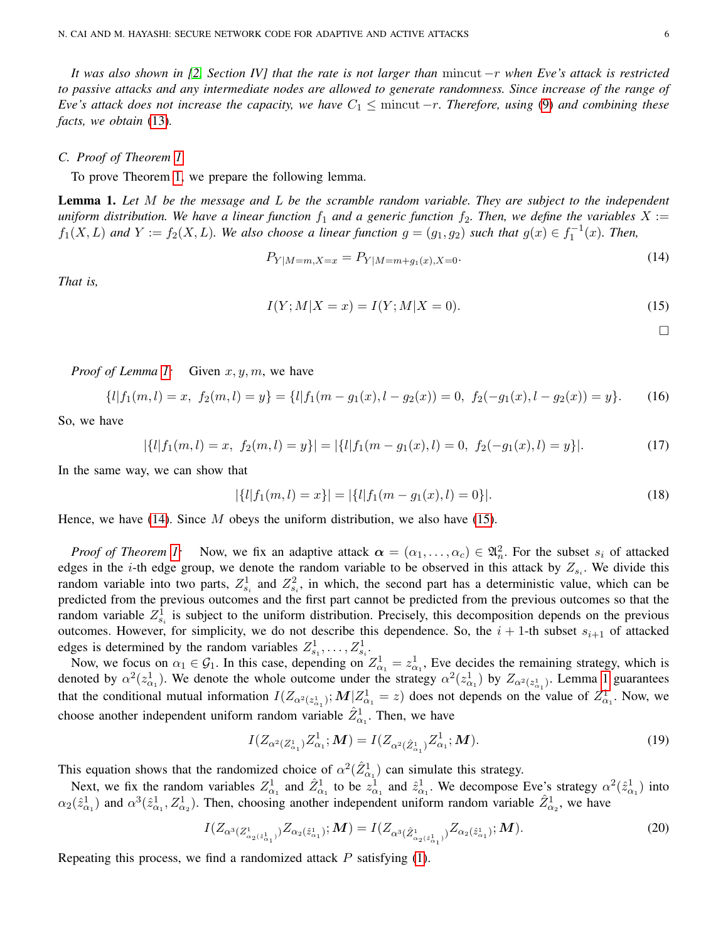*It was also shown in [\[2,](#page-21-1) Section IV] that the rate is not larger than* mincut −r *when Eve's attack is restricted to passive attacks and any intermediate nodes are allowed to generate randomness. Since increase of the range of Eve's attack does not increase the capacity, we have*  $C_1 \leq$  mincut  $-r$ *. Therefore, using* [\(9\)](#page-4-1) *and combining these facts, we obtain* [\(13\)](#page-4-2)*.*

# *C. Proof of Theorem [1](#page-3-4)*

To prove Theorem [1,](#page-3-4) we prepare the following lemma.

<span id="page-5-0"></span>Lemma 1. *Let* M *be the message and* L *be the scramble random variable. They are subject to the independent uniform distribution. We have a linear function*  $f_1$  *and a generic function*  $f_2$ *. Then, we define the variables*  $X :=$  $f_1(X, L)$  and  $Y := f_2(X, L)$ . We also choose a linear function  $g = (g_1, g_2)$  such that  $g(x) \in f_1^{-1}(x)$ . Then,

$$
P_{Y|M=m,X=x} = P_{Y|M=m+g_1(x),X=0}.\tag{14}
$$

*That is,*

$$
I(Y; M | X = x) = I(Y; M | X = 0).
$$
\n(15)

<span id="page-5-2"></span><span id="page-5-1"></span> $\Box$ 

*Proof of Lemma [1:](#page-5-0)* Given  $x, y, m$ , we have

$$
\{l|f_1(m,l) = x, \ f_2(m,l) = y\} = \{l|f_1(m - g_1(x), l - g_2(x)) = 0, \ f_2(-g_1(x), l - g_2(x)) = y\}.
$$
 (16)

So, we have

$$
|\{l|f_1(m,l) = x, f_2(m,l) = y\}| = |\{l|f_1(m - g_1(x), l) = 0, f_2(-g_1(x), l) = y\}|.
$$
\n(17)

In the same way, we can show that

$$
|\{l|f_1(m,l) = x\}| = |\{l|f_1(m - g_1(x), l) = 0\}|. \tag{18}
$$

Hence, we have [\(14\)](#page-5-1). Since  $M$  obeys the uniform distribution, we also have [\(15\)](#page-5-2).

*Proof of Theorem [1:](#page-3-4)* Now, we fix an adaptive attack  $\alpha = (\alpha_1, \dots, \alpha_c) \in \mathfrak{A}_n^2$ . For the subset  $s_i$  of attacked edges in the *i*-th edge group, we denote the random variable to be observed in this attack by  $Z_{s_i}$ . We divide this random variable into two parts,  $Z_{s_i}^1$  and  $Z_{s_i}^2$ , in which, the second part has a deterministic value, which can be predicted from the previous outcomes and the first part cannot be predicted from the previous outcomes so that the random variable  $Z_{s_i}^1$  is subject to the uniform distribution. Precisely, this decomposition depends on the previous outcomes. However, for simplicity, we do not describe this dependence. So, the  $i + 1$ -th subset  $s_{i+1}$  of attacked edges is determined by the random variables  $Z_{s_1}^1, \ldots, Z_{s_i}^1$ .

Now, we focus on  $\alpha_1 \in \mathcal{G}_1$ . In this case, depending on  $Z_{\alpha_1}^1 = z_{\alpha_1}^1$ , Eve decides the remaining strategy, which is denoted by  $\alpha^2(z_{\alpha_1}^1)$ . We denote the whole outcome under the strategy  $\alpha^2(z_{\alpha_1}^1)$  by  $Z_{\alpha^2(z_{\alpha_1}^1)}$ . Lemma [1](#page-5-0) guarantees that the conditional mutual information  $I(Z_{\alpha^2(z^1_{\alpha_1})};M|Z^1_{\alpha_1}=z)$  does not depends on the value of  $Z^1_{\alpha_1}$ . Now, we choose another independent uniform random variable  $\hat{Z}_{\alpha_1}^1$ . Then, we have

$$
I(Z_{\alpha^2(Z_{\alpha_1}^1)}Z_{\alpha_1}^1; \mathbf{M}) = I(Z_{\alpha^2(\hat{Z}_{\alpha_1}^1)}Z_{\alpha_1}^1; \mathbf{M}).
$$
\n(19)

This equation shows that the randomized choice of  $\alpha^2(\hat{Z}^1_{\alpha_1})$  can simulate this strategy.

Next, we fix the random variables  $Z_{\alpha_1}^1$  and  $\hat{Z}_{\alpha_1}^1$  to be  $z_{\alpha_1}^1$  and  $\hat{z}_{\alpha_1}^1$ . We decompose Eve's strategy  $\alpha^2(\hat{z}_{\alpha_1}^1)$  into  $\alpha_2(\hat{z}_{\alpha_1}^1)$  and  $\alpha^3(\hat{z}_{\alpha_1}^1, Z_{\alpha_2}^1)$ . Then, choosing another independent uniform random variable  $\hat{Z}_{\alpha_2}^1$ , we have

$$
I(Z_{\alpha^3(Z^1_{\alpha_2(\hat{z}^1_{\alpha_1})})}Z_{\alpha_2(\hat{z}^1_{\alpha_1})};\boldsymbol{M}) = I(Z_{\alpha^3(\hat{Z}^1_{\alpha_2(\hat{z}^1_{\alpha_1})})}Z_{\alpha_2(\hat{z}^1_{\alpha_1})};\boldsymbol{M}).
$$
\n(20)

Repeating this process, we find a randomized attack  $P$  satisfying [\(1\)](#page-3-5).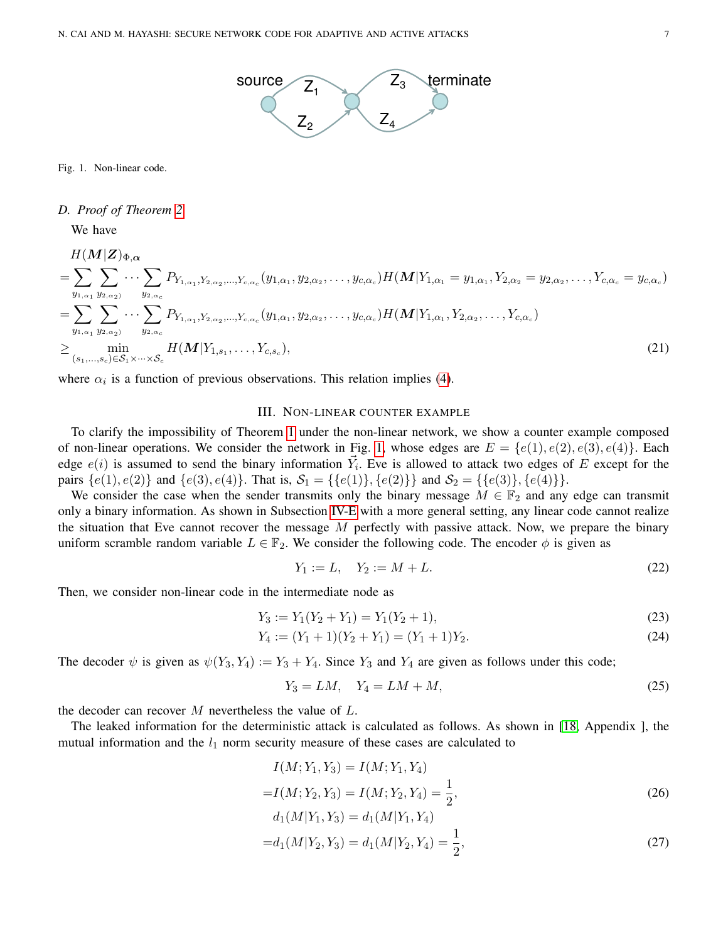

<span id="page-6-1"></span>Fig. 1. Non-linear code.

# *D. Proof of Theorem [2](#page-3-6)*

We have

$$
H(\mathbf{M}|\mathbf{Z})_{\Phi,\alpha} = \sum_{y_{1,\alpha_1}} \sum_{y_{2,\alpha_2}} \cdots \sum_{y_{2,\alpha_c}} P_{Y_{1,\alpha_1}, Y_{2,\alpha_2}, \dots, Y_{c,\alpha_c}}(y_{1,\alpha_1}, y_{2,\alpha_2}, \dots, y_{c,\alpha_c}) H(\mathbf{M}|Y_{1,\alpha_1} = y_{1,\alpha_1}, Y_{2,\alpha_2} = y_{2,\alpha_2}, \dots, Y_{c,\alpha_c} = y_{c,\alpha_c})
$$
\n
$$
= \sum_{y_{1,\alpha_1}} \sum_{y_{2,\alpha_2}} \cdots \sum_{y_{2,\alpha_c}} P_{Y_{1,\alpha_1}, Y_{2,\alpha_2}, \dots, Y_{c,\alpha_c}}(y_{1,\alpha_1}, y_{2,\alpha_2}, \dots, y_{c,\alpha_c}) H(\mathbf{M}|Y_{1,\alpha_1}, Y_{2,\alpha_2}, \dots, Y_{c,\alpha_c})
$$
\n
$$
\geq \min_{(s_1, \dots, s_c) \in S_1 \times \dots \times S_c} H(\mathbf{M}|Y_{1,s_1}, \dots, Y_{c,s_c}), \tag{21}
$$

where  $\alpha_i$  is a function of previous observations. This relation implies [\(4\)](#page-3-7).

# III. NON-LINEAR COUNTER EXAMPLE

<span id="page-6-0"></span>To clarify the impossibility of Theorem [1](#page-3-4) under the non-linear network, we show a counter example composed of non-linear operations. We consider the network in Fig. [1,](#page-6-1) whose edges are  $E = \{e(1), e(2), e(3), e(4)\}\$ . Each edge  $e(i)$  is assumed to send the binary information  $\vec{Y}_i$ . Eve is allowed to attack two edges of E except for the pairs  $\{e(1), e(2)\}\$  and  $\{e(3), e(4)\}\$ . That is,  $S_1 = \{\{e(1)\}, \{e(2)\}\}\$  and  $S_2 = \{\{e(3)\}, \{e(4)\}\}\$ .

We consider the case when the sender transmits only the binary message  $M \in \mathbb{F}_2$  and any edge can transmit only a binary information. As shown in Subsection [IV-E](#page-12-0) with a more general setting, any linear code cannot realize the situation that Eve cannot recover the message  $M$  perfectly with passive attack. Now, we prepare the binary uniform scramble random variable  $L \in \mathbb{F}_2$ . We consider the following code. The encoder  $\phi$  is given as

$$
Y_1 := L, \quad Y_2 := M + L. \tag{22}
$$

Then, we consider non-linear code in the intermediate node as

$$
Y_3 := Y_1(Y_2 + Y_1) = Y_1(Y_2 + 1),\tag{23}
$$

$$
Y_4 := (Y_1 + 1)(Y_2 + Y_1) = (Y_1 + 1)Y_2.
$$
\n(24)

The decoder  $\psi$  is given as  $\psi(Y_3, Y_4) := Y_3 + Y_4$ . Since  $Y_3$  and  $Y_4$  are given as follows under this code;

<span id="page-6-2"></span>
$$
Y_3 = LM, \quad Y_4 = LM + M,\tag{25}
$$

the decoder can recover  $M$  nevertheless the value of  $L$ .

The leaked information for the deterministic attack is calculated as follows. As shown in [\[18,](#page-22-5) Appendix ], the mutual information and the  $l_1$  norm security measure of these cases are calculated to

$$
I(M; Y_1, Y_3) = I(M; Y_1, Y_4)
$$
  
= $I(M; Y_2, Y_3) = I(M; Y_2, Y_4) = \frac{1}{2},$   

$$
d_1(M|Y_1, Y_3) = d_1(M|Y_1, Y_4)
$$
 (26)

$$
=d_1(M|Y_2,Y_3)=d_1(M|Y_2,Y_4)=\frac{1}{2},\t(27)
$$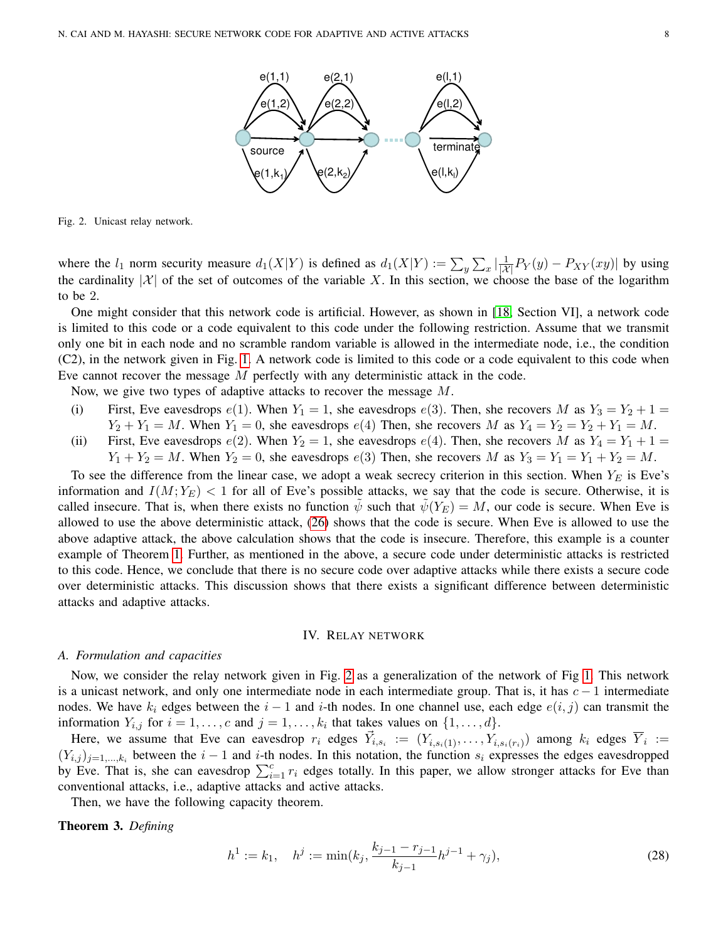

<span id="page-7-1"></span>Fig. 2. Unicast relay network.

where the  $l_1$  norm security measure  $d_1(X|Y)$  is defined as  $d_1(X|Y) := \sum_{y} \sum_{x} \left| \frac{1}{|X|} P_Y(y) - P_{XY}(xy) \right|$  by using the cardinality  $|\mathcal{X}|$  of the set of outcomes of the variable X. In this section, we choose the base of the logarithm to be 2.

One might consider that this network code is artificial. However, as shown in [\[18,](#page-22-5) Section VI], a network code is limited to this code or a code equivalent to this code under the following restriction. Assume that we transmit only one bit in each node and no scramble random variable is allowed in the intermediate node, i.e., the condition (C2), in the network given in Fig. [1.](#page-6-1) A network code is limited to this code or a code equivalent to this code when Eve cannot recover the message M perfectly with any deterministic attack in the code.

Now, we give two types of adaptive attacks to recover the message M.

- (i) First, Eve eavesdrops  $e(1)$ . When  $Y_1 = 1$ , she eavesdrops  $e(3)$ . Then, she recovers M as  $Y_3 = Y_2 + 1 =$  $Y_2 + Y_1 = M$ . When  $Y_1 = 0$ , she eavesdrops  $e(4)$  Then, she recovers M as  $Y_4 = Y_2 = Y_2 + Y_1 = M$ .
- (ii) First, Eve eavesdrops  $e(2)$ . When  $Y_2 = 1$ , she eavesdrops  $e(4)$ . Then, she recovers M as  $Y_4 = Y_1 + 1 =$  $Y_1 + Y_2 = M$ . When  $Y_2 = 0$ , she eavesdrops  $e(3)$  Then, she recovers M as  $Y_3 = Y_1 = Y_1 + Y_2 = M$ .

To see the difference from the linear case, we adopt a weak secrecy criterion in this section. When  $Y_E$  is Eve's information and  $I(M; Y_E)$  < 1 for all of Eve's possible attacks, we say that the code is secure. Otherwise, it is called insecure. That is, when there exists no function  $\psi$  such that  $\psi(Y_E) = M$ , our code is secure. When Eve is allowed to use the above deterministic attack, [\(26\)](#page-6-2) shows that the code is secure. When Eve is allowed to use the above adaptive attack, the above calculation shows that the code is insecure. Therefore, this example is a counter example of Theorem [1.](#page-3-4) Further, as mentioned in the above, a secure code under deterministic attacks is restricted to this code. Hence, we conclude that there is no secure code over adaptive attacks while there exists a secure code over deterministic attacks. This discussion shows that there exists a significant difference between deterministic attacks and adaptive attacks.

#### IV. RELAY NETWORK

#### <span id="page-7-0"></span>*A. Formulation and capacities*

Now, we consider the relay network given in Fig. [2](#page-7-1) as a generalization of the network of Fig [1.](#page-6-1) This network is a unicast network, and only one intermediate node in each intermediate group. That is, it has  $c - 1$  intermediate nodes. We have  $k_i$  edges between the  $i - 1$  and i-th nodes. In one channel use, each edge  $e(i, j)$  can transmit the information  $Y_{i,j}$  for  $i = 1, \ldots, c$  and  $j = 1, \ldots, k_i$  that takes values on  $\{1, \ldots, d\}$ .

Here, we assume that Eve can eavesdrop  $r_i$  edges  $\vec{Y}_{i,s_i} := (Y_{i,s_i(1)}, \ldots, Y_{i,s_i(r_i)})$  among  $k_i$  edges  $\overline{Y}_i :=$  $(Y_{i,j})_{j=1,\dots,k_i}$  between the  $i-1$  and i-th nodes. In this notation, the function  $s_i$  expresses the edges eavesdropped by Eve. That is, she can eavesdrop  $\sum_{i=1}^{c} r_i$  edges totally. In this paper, we allow stronger attacks for Eve than conventional attacks, i.e., adaptive attacks and active attacks.

Then, we have the following capacity theorem.

Theorem 3. *Defining*

$$
h^{1} := k_{1}, \quad h^{j} := \min(k_{j}, \frac{k_{j-1} - r_{j-1}}{k_{j-1}}h^{j-1} + \gamma_{j}), \tag{28}
$$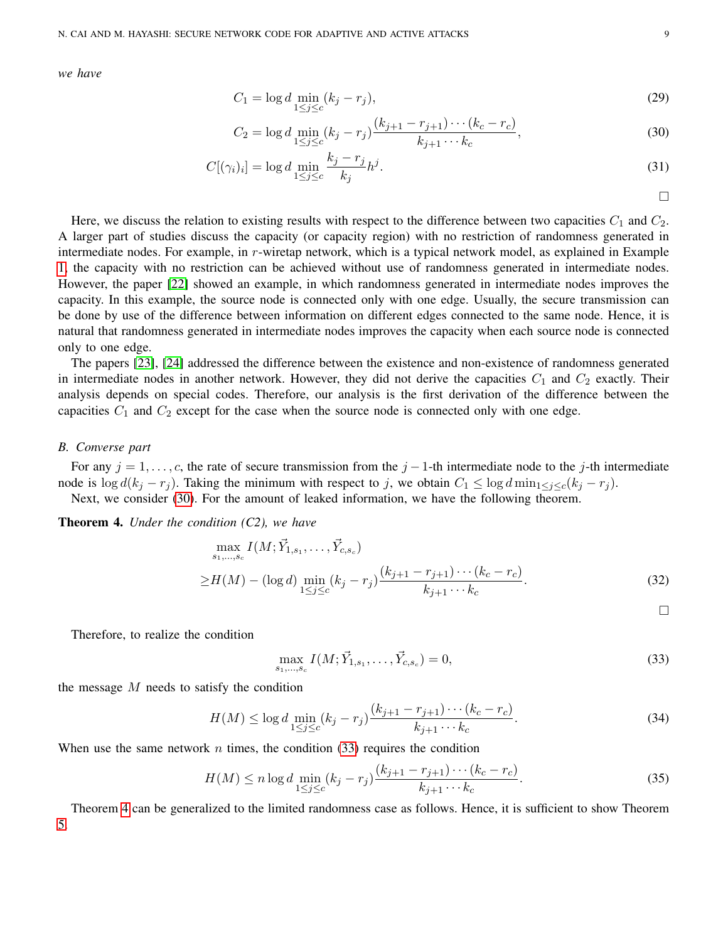*we have*

$$
C_1 = \log d \min_{1 \le j \le c} (k_j - r_j),
$$
\n(29)

$$
C_2 = \log d \min_{1 \le j \le c} (k_j - r_j) \frac{(k_{j+1} - r_{j+1}) \cdots (k_c - r_c)}{k_{j+1} \cdots k_c},\tag{30}
$$

$$
C[(\gamma_i)_i] = \log d \min_{1 \le j \le c} \frac{k_j - r_j}{k_j} h^j. \tag{31}
$$

<span id="page-8-0"></span> $\Box$ 

<span id="page-8-3"></span><span id="page-8-1"></span> $\Box$ 

Here, we discuss the relation to existing results with respect to the difference between two capacities  $C_1$  and  $C_2$ . A larger part of studies discuss the capacity (or capacity region) with no restriction of randomness generated in intermediate nodes. For example, in r-wiretap network, which is a typical network model, as explained in Example [1,](#page-4-3) the capacity with no restriction can be achieved without use of randomness generated in intermediate nodes. However, the paper [\[22\]](#page-22-9) showed an example, in which randomness generated in intermediate nodes improves the capacity. In this example, the source node is connected only with one edge. Usually, the secure transmission can be done by use of the difference between information on different edges connected to the same node. Hence, it is natural that randomness generated in intermediate nodes improves the capacity when each source node is connected only to one edge.

The papers [\[23\]](#page-22-10), [\[24\]](#page-22-11) addressed the difference between the existence and non-existence of randomness generated in intermediate nodes in another network. However, they did not derive the capacities  $C_1$  and  $C_2$  exactly. Their analysis depends on special codes. Therefore, our analysis is the first derivation of the difference between the capacities  $C_1$  and  $C_2$  except for the case when the source node is connected only with one edge.

## *B. Converse part*

For any  $j = 1, \ldots, c$ , the rate of secure transmission from the  $j - 1$ -th intermediate node to the j-th intermediate node is  $\log d(k_j - r_j)$ . Taking the minimum with respect to j, we obtain  $C_1 \leq \log d \min_{1 \leq j \leq c} (k_j - r_j)$ . Next, we consider [\(30\)](#page-8-0). For the amount of leaked information, we have the following theorem.

<span id="page-8-2"></span>Theorem 4. *Under the condition (C2), we have*

$$
\max_{s_1,\dots,s_c} I(M; \vec{Y}_{1,s_1},\dots, \vec{Y}_{c,s_c})
$$
\n
$$
\geq H(M) - (\log d) \min_{1 \leq j \leq c} (k_j - r_j) \frac{(k_{j+1} - r_{j+1}) \cdots (k_c - r_c)}{k_{j+1} \cdots k_c}.
$$
\n(32)

Therefore, to realize the condition

$$
\max_{s_1,\dots,s_c} I(M; \vec{Y}_{1,s_1},\dots, \vec{Y}_{c,s_c}) = 0,\tag{33}
$$

the message  $M$  needs to satisfy the condition

$$
H(M) \le \log d \min_{1 \le j \le c} (k_j - r_j) \frac{(k_{j+1} - r_{j+1}) \cdots (k_c - r_c)}{k_{j+1} \cdots k_c}.
$$
\n(34)

When use the same network n times, the condition  $(33)$  requires the condition

$$
H(M) \le n \log d \min_{1 \le j \le c} (k_j - r_j) \frac{(k_{j+1} - r_{j+1}) \cdots (k_c - r_c)}{k_{j+1} \cdots k_c}.
$$
\n(35)

Theorem [4](#page-8-2) can be generalized to the limited randomness case as follows. Hence, it is sufficient to show Theorem [5.](#page-9-0)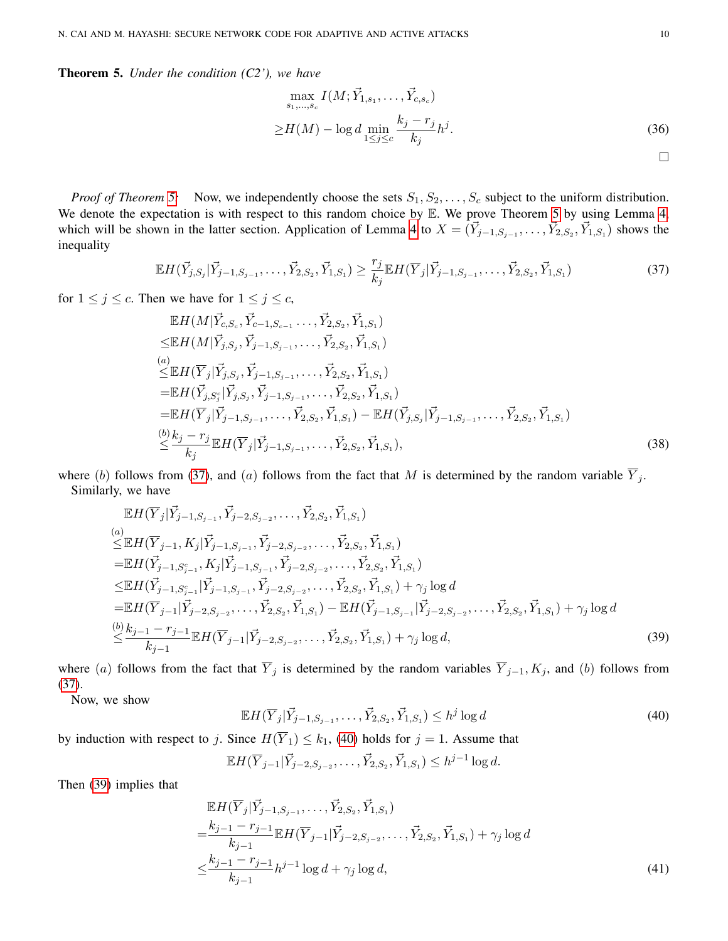<span id="page-9-0"></span>Theorem 5. *Under the condition (C2'), we have*

<span id="page-9-1"></span>
$$
\max_{s_1, ..., s_c} I(M; \vec{Y}_{1, s_1}, ..., \vec{Y}_{c, s_c})
$$
\n
$$
\geq H(M) - \log d \min_{1 \leq j \leq c} \frac{k_j - r_j}{k_j} h^j.
$$
\n(36)

*Proof of Theorem [5:](#page-9-0)* Now, we independently choose the sets  $S_1, S_2, \ldots, S_c$  subject to the uniform distribution. We denote the expectation is with respect to this random choice by E. We prove Theorem [5](#page-9-0) by using Lemma [4,](#page-13-1) which will be shown in the latter section. Application of Lemma [4](#page-13-1) to  $X = (\vec{Y}_{j-1,S_{j-1}}, \dots, \vec{Y}_{2,S_2}, \vec{Y}_{1,S_1})$  shows the inequality

$$
\mathbb{E}H(\vec{Y}_{j,S_j}|\vec{Y}_{j-1,S_{j-1}},\ldots,\vec{Y}_{2,S_2},\vec{Y}_{1,S_1}) \ge \frac{r_j}{k_j} \mathbb{E}H(\overline{Y}_j|\vec{Y}_{j-1,S_{j-1}},\ldots,\vec{Y}_{2,S_2},\vec{Y}_{1,S_1})
$$
(37)

for  $1 \leq j \leq c$ . Then we have for  $1 \leq j \leq c$ ,

$$
\mathbb{E}H(M|\vec{Y}_{c,S_c}, \vec{Y}_{c-1,S_{c-1}} \dots, \vec{Y}_{2,S_2}, \vec{Y}_{1,S_1})
$$
\n
$$
\leq \mathbb{E}H(M|\vec{Y}_{j,S_j}, \vec{Y}_{j-1,S_{j-1}}, \dots, \vec{Y}_{2,S_2}, \vec{Y}_{1,S_1})
$$
\n(a)  
\n
$$
\leq \mathbb{E}H(\overline{Y}_j|\vec{Y}_{j,S_j}, \vec{Y}_{j-1,S_{j-1}}, \dots, \vec{Y}_{2,S_2}, \vec{Y}_{1,S_1})
$$
\n
$$
= \mathbb{E}H(\vec{Y}_{j,S_j}|\vec{Y}_{j,S_j}, \vec{Y}_{j-1,S_{j-1}}, \dots, \vec{Y}_{2,S_2}, \vec{Y}_{1,S_1})
$$
\n
$$
= \mathbb{E}H(\overline{Y}_j|\vec{Y}_{j-1,S_{j-1}}, \dots, \vec{Y}_{2,S_2}, \vec{Y}_{1,S_1}) - \mathbb{E}H(\vec{Y}_{j,S_j}|\vec{Y}_{j-1,S_{j-1}}, \dots, \vec{Y}_{2,S_2}, \vec{Y}_{1,S_1})
$$
\n(b)  
\n
$$
\leq \frac{k_j - r_j}{k_j} \mathbb{E}H(\overline{Y}_j|\vec{Y}_{j-1,S_{j-1}}, \dots, \vec{Y}_{2,S_2}, \vec{Y}_{1,S_1}),
$$
\n(38)

where (b) follows from [\(37\)](#page-9-1), and (a) follows from the fact that M is determined by the random variable  $\overline{Y}_j$ . Similarly, we have

$$
\mathbb{E} H(\overline{Y}_{j}|\overrightarrow{Y}_{j-1,S_{j-1}},\overrightarrow{Y}_{j-2,S_{j-2}},\ldots,\overrightarrow{Y}_{2,S_{2}},\overrightarrow{Y}_{1,S_{1}})\n(a)\n\leq \mathbb{E} H(\overline{Y}_{j-1},K_{j}|\overrightarrow{Y}_{j-1,S_{j-1}},\overrightarrow{Y}_{j-2,S_{j-2}},\ldots,\overrightarrow{Y}_{2,S_{2}},\overrightarrow{Y}_{1,S_{1}})\n= \mathbb{E} H(\overrightarrow{Y}_{j-1,S_{j-1}}^c,K_{j}|\overrightarrow{Y}_{j-1,S_{j-1}},\overrightarrow{Y}_{j-2,S_{j-2}},\ldots,\overrightarrow{Y}_{2,S_{2}},\overrightarrow{Y}_{1,S_{1}})\n\leq \mathbb{E} H(\overrightarrow{Y}_{j-1,S_{j-1}}|\overrightarrow{Y}_{j-1,S_{j-1}},\overrightarrow{Y}_{j-2,S_{j-2}},\ldots,\overrightarrow{Y}_{2,S_{2}},\overrightarrow{Y}_{1,S_{1}}) + \gamma_{j} \log d\n= \mathbb{E} H(\overrightarrow{Y}_{j-1}|\overrightarrow{Y}_{j-2,S_{j-2}},\ldots,\overrightarrow{Y}_{2,S_{2}},\overrightarrow{Y}_{1,S_{1}}) - \mathbb{E} H(\overrightarrow{Y}_{j-1,S_{j-1}}|\overrightarrow{Y}_{j-2,S_{j-2}},\ldots,\overrightarrow{Y}_{2,S_{2}},\overrightarrow{Y}_{1,S_{1}}) + \gamma_{j} \log d\n\leq \frac{(b)}{k_{j-1}} \mathbb{E} H(\overrightarrow{Y}_{j-1}|\overrightarrow{Y}_{j-2,S_{j-2}},\ldots,\overrightarrow{Y}_{2,S_{2}},\overrightarrow{Y}_{1,S_{1}}) + \gamma_{j} \log d,
$$
\n(39)

where (a) follows from the fact that  $\overline{Y}_j$  is determined by the random variables  $\overline{Y}_{j-1}, K_j$ , and (b) follows from [\(37\)](#page-9-1).

Now, we show

<span id="page-9-5"></span><span id="page-9-3"></span><span id="page-9-2"></span>
$$
\mathbb{E}H(\overline{Y}_j|\vec{Y}_{j-1,S_{j-1}},\ldots,\vec{Y}_{2,S_2},\vec{Y}_{1,S_1}) \leq h^j \log d \tag{40}
$$

by induction with respect to j. Since  $H(\overline{Y}_1) \leq k_1$ , [\(40\)](#page-9-2) holds for  $j = 1$ . Assume that

<span id="page-9-4"></span>
$$
\mathbb{E} H(\overline{Y}_{j-1}|\vec{Y}_{j-2,S_{j-2}},\ldots,\vec{Y}_{2,S_2},\vec{Y}_{1,S_1}) \leq h^{j-1}\log d.
$$

Then [\(39\)](#page-9-3) implies that

$$
\mathbb{E}H(\overline{Y}_j|\overrightarrow{Y}_{j-1,S_{j-1}},\ldots,\overrightarrow{Y}_{2,S_2},\overrightarrow{Y}_{1,S_1})
$$
\n
$$
=\frac{k_{j-1}-r_{j-1}}{k_{j-1}}\mathbb{E}H(\overline{Y}_{j-1}|\overrightarrow{Y}_{j-2,S_{j-2}},\ldots,\overrightarrow{Y}_{2,S_2},\overrightarrow{Y}_{1,S_1})+\gamma_j\log d
$$
\n
$$
\leq \frac{k_{j-1}-r_{j-1}}{k_{j-1}}h^{j-1}\log d+\gamma_j\log d,
$$
\n(41)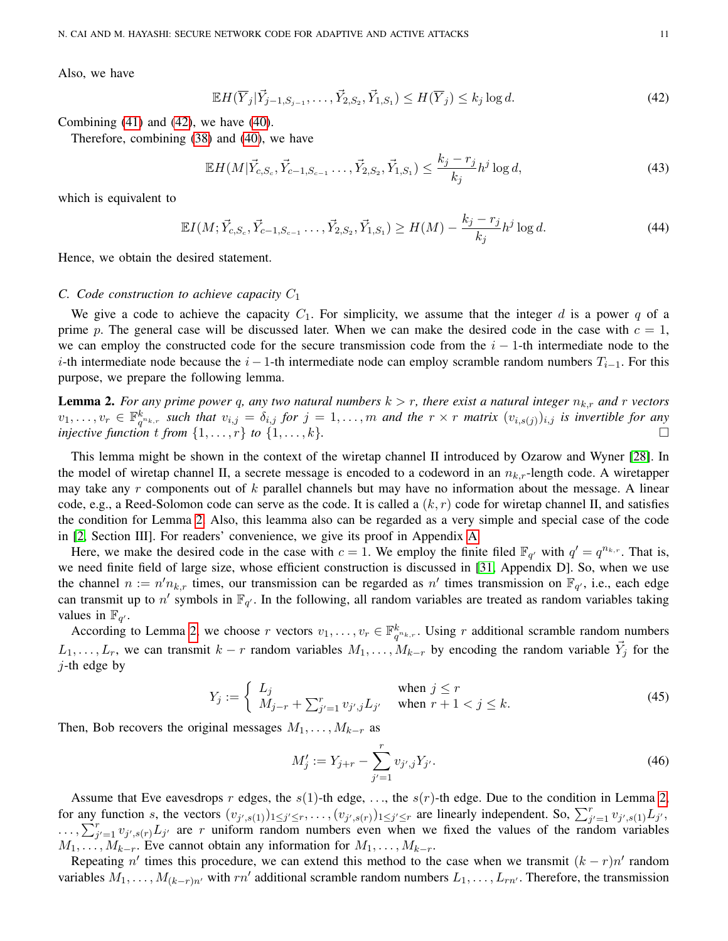Also, we have

<span id="page-10-0"></span>
$$
\mathbb{E}H(\overline{Y}_j|\overrightarrow{Y}_{j-1,S_{j-1}},\ldots,\overrightarrow{Y}_{2,S_2},\overrightarrow{Y}_{1,S_1}) \leq H(\overline{Y}_j) \leq k_j \log d. \tag{42}
$$

Combining  $(41)$  and  $(42)$ , we have  $(40)$ .

Therefore, combining [\(38\)](#page-9-5) and [\(40\)](#page-9-2), we have

$$
\mathbb{E}H(M|\vec{Y}_{c,S_c}, \vec{Y}_{c-1,S_{c-1}}\dots, \vec{Y}_{2,S_2}, \vec{Y}_{1,S_1}) \le \frac{k_j - r_j}{k_j} h^j \log d,
$$
\n(43)

which is equivalent to

$$
\mathbb{E}I(M; \vec{Y}_{c,S_c}, \vec{Y}_{c-1,S_{c-1}} \dots, \vec{Y}_{2,S_2}, \vec{Y}_{1,S_1}) \ge H(M) - \frac{k_j - r_j}{k_j} h^j \log d. \tag{44}
$$

Hence, we obtain the desired statement.

## <span id="page-10-2"></span>*C. Code construction to achieve capacity* C<sup>1</sup>

We give a code to achieve the capacity  $C_1$ . For simplicity, we assume that the integer d is a power q of a prime p. The general case will be discussed later. When we can make the desired code in the case with  $c = 1$ , we can employ the constructed code for the secure transmission code from the  $i - 1$ -th intermediate node to the i-th intermediate node because the i − 1-th intermediate node can employ scramble random numbers  $T_{i-1}$ . For this purpose, we prepare the following lemma.

<span id="page-10-1"></span>**Lemma 2.** For any prime power q, any two natural numbers  $k > r$ , there exist a natural integer  $n_{k,r}$  and r vectors  $v_1, \ldots, v_r \in \mathbb{F}_{q^{n_k},r}^k$  such that  $v_{i,j} = \delta_{i,j}$  for  $j = 1,\ldots,m$  and the  $r \times r$  matrix  $(v_{i,s(j)})_{i,j}$  is invertible for any *injective function* t *from*  $\{1, \ldots, r\}$  to  $\{1, \ldots, k\}$ .

This lemma might be shown in the context of the wiretap channel II introduced by Ozarow and Wyner [\[28\]](#page-22-17). In the model of wiretap channel II, a secrete message is encoded to a codeword in an  $n_{k,r}$ -length code. A wiretapper may take any  $r$  components out of  $k$  parallel channels but may have no information about the message. A linear code, e.g., a Reed-Solomon code can serve as the code. It is called a  $(k, r)$  code for wiretap channel II, and satisfies the condition for Lemma [2.](#page-10-1) Also, this leamma also can be regarded as a very simple and special case of the code in [\[2,](#page-21-1) Section III]. For readers' convenience, we give its proof in Appendix [A.](#page-20-0)

Here, we make the desired code in the case with  $c = 1$ . We employ the finite filed  $\mathbb{F}_{q'}$  with  $q' = q^{n_{k,r}}$ . That is, we need finite field of large size, whose efficient construction is discussed in [\[31,](#page-22-18) Appendix D]. So, when we use the channel  $n := n'n_{k,r}$  times, our transmission can be regarded as n' times transmission on  $\mathbb{F}_{q'}$ , i.e., each edge can transmit up to n' symbols in  $\mathbb{F}_{q'}$ . In the following, all random variables are treated as random variables taking values in  $\mathbb{F}_{q'}$ .

According to Lemma [2,](#page-10-1) we choose r vectors  $v_1, \ldots, v_r \in \mathbb{F}_{q^{n_k},r}^k$ . Using r additional scramble random numbers  $L_1, \ldots, L_r$ , we can transmit  $k-r$  random variables  $M_1, \ldots, M_{k-r}$  by encoding the random variable  $\vec{Y}_j$  for the  $j$ -th edge by

$$
Y_j := \begin{cases} L_j & \text{when } j \le r \\ M_{j-r} + \sum_{j'=1}^r v_{j',j} L_{j'} & \text{when } r+1 < j \le k. \end{cases}
$$
 (45)

Then, Bob recovers the original messages  $M_1, \ldots, M_{k-r}$  as

$$
M'_j := Y_{j+r} - \sum_{j'=1}^r v_{j',j} Y_{j'}.
$$
\n(46)

Assume that Eve eavesdrops r edges, the  $s(1)$ -th edge, ..., the  $s(r)$ -th edge. Due to the condition in Lemma [2,](#page-10-1) for any function s, the vectors  $(v_{j',s(1)})_{1 \leq j' \leq r}, \ldots, (v_{j',s(r)})_{1 \leq j' \leq r}$  are linearly independent. So,  $\sum_{j'=1}^{r} v_{j',s(1)} L_{j'}$ ,  $\ldots$ ,  $\sum_{j'=1}^{r} v_{j',s(r)} L_{j'}$  are r uniform random numbers even when we fixed the values of the random variables  $M_1, \ldots, M_{k-r}$ . Eve cannot obtain any information for  $M_1, \ldots, M_{k-r}$ .

Repeating n' times this procedure, we can extend this method to the case when we transmit  $(k - r)n'$  random variables  $M_1, \ldots, M_{(k-r)n'}$  with  $rn'$  additional scramble random numbers  $L_1, \ldots, L_{rn'}$ . Therefore, the transmission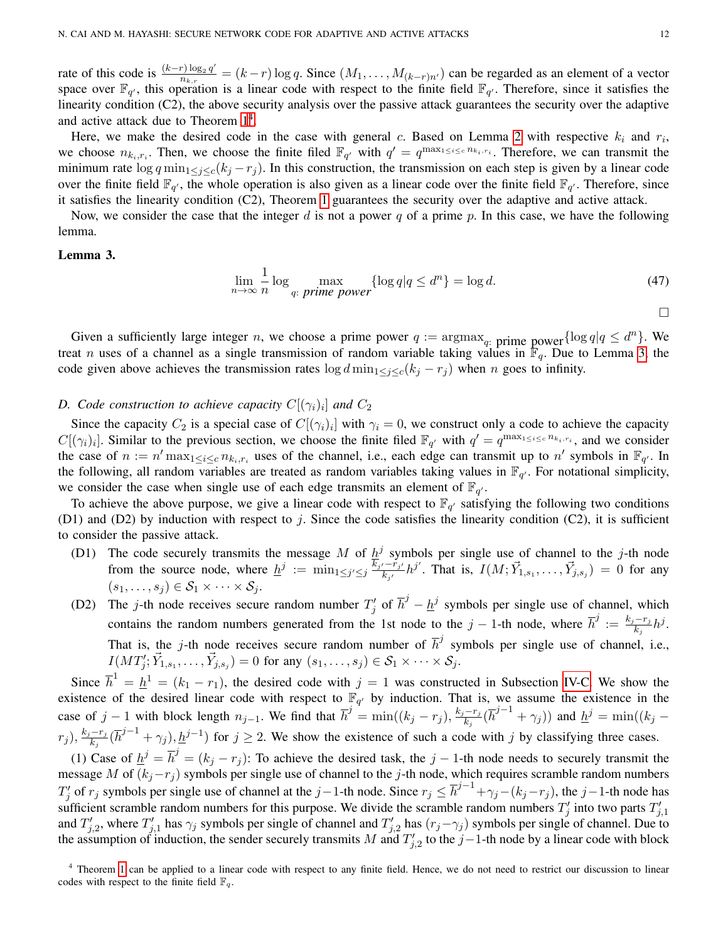rate of this code is  $\frac{(k-r)\log_2 q'}{n}$  $\frac{r \log_2 q}{n_{k,r}} = (k-r) \log q$ . Since  $(M_1, \ldots, M_{(k-r)n'})$  can be regarded as an element of a vector space over  $\mathbb{F}_{q'}$ , this operation is a linear code with respect to the finite field  $\mathbb{F}_{q'}$ . Therefore, since it satisfies the linearity condition (C2), the above security analysis over the passive attack guarantees the security over the adaptive and active attack due to Theorem  $1<sup>4</sup>$  $1<sup>4</sup>$  $1<sup>4</sup>$ .

Here, we make the desired code in the case with general c. Based on Lemma [2](#page-10-1) with respective  $k_i$  and  $r_i$ , we choose  $n_{k_i,r_i}$ . Then, we choose the finite filed  $\mathbb{F}_{q'}$  with  $q' = q^{\max_{1 \leq i \leq c} n_{k_i,r_i}}$ . Therefore, we can transmit the minimum rate  $\log q \min_{1 \leq j \leq c} (k_j - r_j)$ . In this construction, the transmission on each step is given by a linear code over the finite field  $\mathbb{F}_{q'}$ , the whole operation is also given as a linear code over the finite field  $\mathbb{F}_{q'}$ . Therefore, since it satisfies the linearity condition (C2), Theorem [1](#page-3-4) guarantees the security over the adaptive and active attack.

Now, we consider the case that the integer d is not a power q of a prime p. In this case, we have the following lemma.

# <span id="page-11-1"></span>Lemma 3.

$$
\lim_{n \to \infty} \frac{1}{n} \log \max_{q: \text{ prime power}} \{ \log q | q \le d^n \} = \log d. \tag{47}
$$

 $\Box$ 

Given a sufficiently large integer n, we choose a prime power  $q := \argmax_{q:}$  prime power  $\{\log q | q \leq d^n\}$ . We treat *n* uses of a channel as a single transmission of random variable taking values in  $\mathbb{F}_q$ . Due to Lemma [3,](#page-11-1) the code given above achieves the transmission rates  $\log d \min_{1 \leq j \leq c} (k_j - r_j)$  when n goes to infinity.

# D. Code construction to achieve capacity  $C[(\gamma_i)_i]$  and  $C_2$

Since the capacity  $C_2$  is a special case of  $C[(\gamma_i)_i]$  with  $\gamma_i = 0$ , we construct only a code to achieve the capacity  $C[(\gamma_i)_i]$ . Similar to the previous section, we choose the finite filed  $\mathbb{F}_{q'}$  with  $q' = q^{\max_{1 \leq i \leq c} n_{k_i, r_i}}$ , and we consider the case of  $n := n' \max_{1 \leq i \leq c} n_{k_i, r_i}$  uses of the channel, i.e., each edge can transmit up to  $n'$  symbols in  $\mathbb{F}_{q'}$ . In the following, all random variables are treated as random variables taking values in  $\mathbb{F}_{q'}$ . For notational simplicity, we consider the case when single use of each edge transmits an element of  $\mathbb{F}_{q'}$ .

To achieve the above purpose, we give a linear code with respect to  $\mathbb{F}_{q'}$  satisfying the following two conditions (D1) and (D2) by induction with respect to j. Since the code satisfies the linearity condition (C2), it is sufficient to consider the passive attack.

- (D1) The code securely transmits the message M of  $h^j$  symbols per single use of channel to the j-th node from the source node, where  $\underline{h}^j := \min_{1 \leq j' \leq j} \frac{\overline{k}_{j'} - \overline{r}_{j'}}{k_{j'}} h^{j'}$ . That is,  $I(M; \vec{Y}_{1,s_1}, \ldots, \vec{Y}_{j,s_j}) = 0$  for any  $(s_1, \ldots, s_j) \in S_1 \times \cdots \times S_j$ .
- (D2) The j-th node receives secure random number  $T'_j$  of  $\overline{h}^j \underline{h}^j$  symbols per single use of channel, which contains the random numbers generated from the 1st node to the  $j-1$ -th node, where  $\bar{h}^j := \frac{k_j - r_j}{k}$  $\frac{-r_j}{k_j}h^j$ . That is, the j-th node receives secure random number of  $\overline{h}^j$  symbols per single use of channel, i.e.,  $I(MT'_j; \vec{Y}_{1,s_1}, \ldots, \vec{Y}_{j,s_j}) = 0$  for any  $(s_1, \ldots, s_j) \in S_1 \times \cdots \times S_j$ .

Since  $\overline{h}^1 = \underline{h}^1 = (k_1 - r_1)$ , the desired code with  $j = 1$  was constructed in Subsection [IV-C.](#page-10-2) We show the existence of the desired linear code with respect to  $\mathbb{F}_{q'}$  by induction. That is, we assume the existence in the case of j – 1 with block length  $n_{j-1}$ . We find that  $\overline{h}^j = \min((k_j - r_j), \frac{k_j - r_j}{k_j})$  $\frac{(-r_j}{k_j}(\overline{h}^{j-1}+\gamma_j))$  and  $\underline{h}^j=\min((k_j-\gamma_j)$  $(r_j), \frac{k_j-r_j}{k_j}$  $\frac{-r_j}{k_j}(\bar{h}^{j-1} + \gamma_j), \underline{h}^{j-1})$  for  $j \ge 2$ . We show the existence of such a code with j by classifying three cases.

(1) Case of  $\underline{h}^j = \overline{h}^j = (k_j - r_j)$ : To achieve the desired task, the j – 1-th node needs to securely transmit the message M of  $(k_j-r_j)$  symbols per single use of channel to the j-th node, which requires scramble random numbers  $T'_j$  of  $r_j$  symbols per single use of channel at the j–1-th node. Since  $r_j \leq \overline{h}^{j-1} + \gamma_j - (k_j - r_j)$ , the j–1-th node has sufficient scramble random numbers for this purpose. We divide the scramble random numbers  $T'_j$  into two parts  $T'_{j,1}$ and  $T'_{j,2}$ , where  $T'_{j,1}$  has  $\gamma_j$  symbols per single of channel and  $T'_{j,2}$  has  $(r_j-\gamma_j)$  symbols per single of channel. Due to the assumption of induction, the sender securely transmits M and  $T'_{j,2}$  to the j-1-th node by a linear code with block

<span id="page-11-0"></span><sup>&</sup>lt;sup>4</sup> Theorem [1](#page-3-4) can be applied to a linear code with respect to any finite field. Hence, we do not need to restrict our discussion to linear codes with respect to the finite field  $\mathbb{F}_q$ .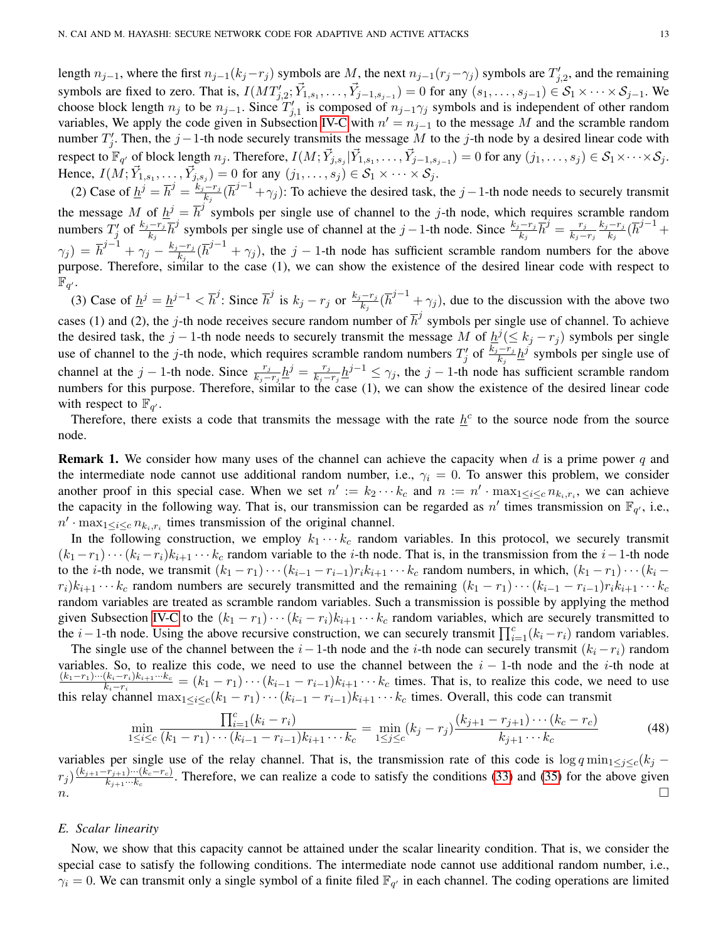length  $n_{j-1}$ , where the first  $n_{j-1}(k_j-r_j)$  symbols are M, the next  $n_{j-1}(r_j-\gamma_j)$  symbols are  $T'_{j,2}$ , and the remaining symbols are fixed to zero. That is,  $I(MT'_{j,2}; \vec{Y}_{1,s_1}, \ldots, \vec{Y}_{j-1,s_{j-1}}) = 0$  for any  $(s_1, \ldots, s_{j-1}) \in S_1 \times \cdots \times S_{j-1}$ . We choose block length  $n_j$  to be  $n_{j-1}$ . Since  $T'_{j,1}$  is composed of  $n_{j-1}\gamma_j$  symbols and is independent of other random variables, We apply the code given in Subsection [IV-C](#page-10-2) with  $n' = n_{j-1}$  to the message M and the scramble random number  $T'_j$ . Then, the j – 1-th node securely transmits the message M to the j-th node by a desired linear code with respect to  $\mathbb{F}_{q'}$  of block length  $n_j$ . Therefore,  $I(M; \vec{Y}_{j,s_j} | \vec{Y}_{1,s_1}, \ldots, \vec{Y}_{j-1,s_{j-1}}) = 0$  for any  $(j_1, \ldots, s_j) \in \mathcal{S}_1 \times \cdots \times \mathcal{S}_j$ . Hence,  $I(M; \vec{Y}_{1,s_1}, \ldots, \vec{Y}_{j,s_j}) = 0$  for any  $(j_1, \ldots, s_j) \in S_1 \times \cdots \times S_j$ .

(2) Case of  $\underline{h}^j = \overline{h}^j = \frac{k_j - r_j}{k_j}$  $\frac{(-r_j}{k_j}(\overline{h}^{j-1}+\gamma_j)$ : To achieve the desired task, the j -1-th node needs to securely transmit the message M of  $\underline{h}^j = \overline{h}^j$  symbols per single use of channel to the j-th node, which requires scramble random numbers  $T'_j$  of  $\frac{k_j - r_j}{k_j} \overline{h}^j$  symbols per single use of channel at the j – 1-th node. Since  $\frac{k_j - r_j}{k_j} \overline{h}^j = \frac{r_j}{k_j - r_j}$  $k_j-r_j$  $k_j-r_j$  $\frac{-r_j}{k_j}(\overline{h}^{j-1} +$  $\gamma_j) \, = \, {\overline h}^{j-1} + \gamma_j - \frac{k_j - r_j}{k_j}$  $\frac{-r_j}{k_j}(\bar{h}^{j-1} + \gamma_j)$ , the j – 1-th node has sufficient scramble random numbers for the above purpose. Therefore, similar to the case  $(1)$ , we can show the existence of the desired linear code with respect to  $\overline{\mathbb{F}_{q'}}.$ 

(3) Case of  $\underline{h}^j = \underline{h}^{j-1} < \overline{h}^j$ : Since  $\overline{h}^j$  is  $k_j - r_j$  or  $\frac{k_j - r_j}{k_j}$  $\frac{(-r_j)}{k_j}$  $(\bar{h}^{j-1} + \gamma_j)$ , due to the discussion with the above two cases (1) and (2), the j-th node receives secure random number of  $\overline{h}^j$  symbols per single use of channel. To achieve the desired task, the j – 1-th node needs to securely transmit the message M of  $\underline{h}^j (\leq k_j - r_j)$  symbols per single use of channel to the j-th node, which requires scramble random numbers  $T'_j$  of  $\frac{k_j-r_j}{k_j} \underline{h}^j$  symbols per single use of channel at the  $j-1$ -th node. Since  $\frac{r_j}{k_j-r_j}\underline{h}^j = \frac{r_j}{k_j-1}$  $\frac{r_j}{k_j-r_j} \underline{h}^{j-1} \leq \gamma_j$ , the  $j-1$ -th node has sufficient scramble random numbers for this purpose. Therefore, similar to the case (1), we can show the existence of the desired linear code with respect to  $\mathbb{F}_{q'}$ .

Therefore, there exists a code that transmits the message with the rate  $h^c$  to the source node from the source node.

**Remark 1.** We consider how many uses of the channel can achieve the capacity when d is a prime power q and the intermediate node cannot use additional random number, i.e.,  $\gamma_i = 0$ . To answer this problem, we consider another proof in this special case. When we set  $n' := k_2 \cdots k_c$  and  $n := n' \cdot \max_{1 \leq i \leq c} n_{k_i, r_i}$ , we can achieve the capacity in the following way. That is, our transmission can be regarded as n' times transmission on  $\mathbb{F}_{q'}$ , i.e.,  $n' \cdot \max_{1 \leq i \leq c} n_{k_i, r_i}$  times transmission of the original channel.

In the following construction, we employ  $k_1 \cdots k_c$  random variables. In this protocol, we securely transmit  $(k_1 - r_1) \cdots (k_i - r_i)k_{i+1} \cdots k_c$  random variable to the *i*-th node. That is, in the transmission from the *i* − 1-th node to the *i*-th node, we transmit  $(k_1 - r_1) \cdots (k_{i-1} - r_{i-1}) r_i k_{i+1} \cdots k_c$  random numbers, in which,  $(k_1 - r_1) \cdots (k_i$  $r_i)k_{i+1}\cdots k_c$  random numbers are securely transmitted and the remaining  $(k_1 - r_1)\cdots (k_{i-1} - r_{i-1})r_ik_{i+1}\cdots k_c$ random variables are treated as scramble random variables. Such a transmission is possible by applying the method given Subsection [IV-C](#page-10-2) to the  $(k_1 - r_1) \cdots (k_i - r_i) k_{i+1} \cdots k_c$  random variables, which are securely transmitted to the i–1-th node. Using the above recursive construction, we can securely transmit  $\prod_{i=1}^{c} (k_i - r_i)$  random variables.

The single use of the channel between the  $i-1$ -th node and the i-th node can securely transmit  $(k_i - r_i)$  random variables. So, to realize this code, we need to use the channel between the  $i - 1$ -th node and the *i*-th node at  $(k_1-r_1)\cdots(k_i-r_i)k_{i+1}\cdots k_c$  $\frac{(k_i-r_i)k_{i+1}\cdots k_c}{k_i-r_i} = (k_1-r_1)\cdots(k_{i-1}-r_{i-1})k_{i+1}\cdots k_c$  times. That is, to realize this code, we need to use this relay channel  $\max_{1 \leq i \leq c} (k_1 - r_1) \cdots (k_{i-1} - r_{i-1}) k_{i+1} \cdots k_c$  times. Overall, this code can transmit

$$
\min_{1 \le i \le c} \frac{\prod_{i=1}^{c} (k_i - r_i)}{(k_1 - r_1) \cdots (k_{i-1} - r_{i-1}) k_{i+1} \cdots k_c} = \min_{1 \le j \le c} (k_j - r_j) \frac{(k_{j+1} - r_{j+1}) \cdots (k_c - r_c)}{k_{j+1} \cdots k_c}
$$
(48)

variables per single use of the relay channel. That is, the transmission rate of this code is  $\log q \min_{1 \leq j \leq c} (k_j$  $r_j)^{\frac{(k_{j+1}-r_{j+1})\cdots(k_c-r_c)}{k_{j+1}\cdots k_c}}$  $\frac{(r_{j+1})\cdots(k_c-r_c)}{k_{j+1}\cdots k_c}$ . Therefore, we can realize a code to satisfy the conditions [\(33\)](#page-8-1) and [\(35\)](#page-8-3) for the above given  $n.$ 

## <span id="page-12-0"></span>*E. Scalar linearity*

Now, we show that this capacity cannot be attained under the scalar linearity condition. That is, we consider the special case to satisfy the following conditions. The intermediate node cannot use additional random number, i.e.,  $\gamma_i = 0$ . We can transmit only a single symbol of a finite filed  $\mathbb{F}_{q'}$  in each channel. The coding operations are limited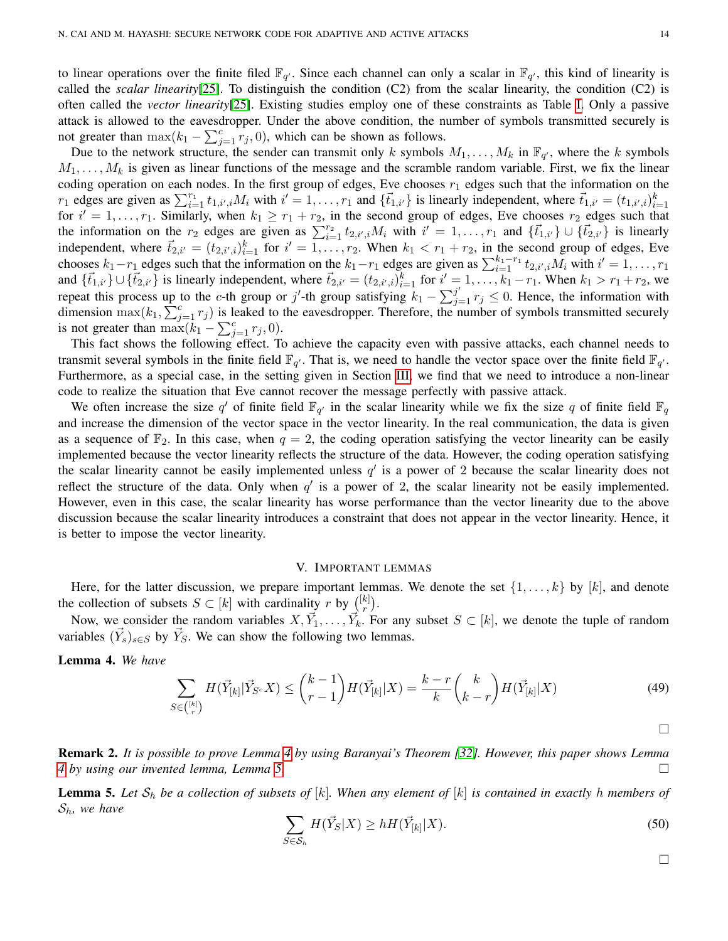to linear operations over the finite filed  $\mathbb{F}_{q'}$ . Since each channel can only a scalar in  $\mathbb{F}_{q'}$ , this kind of linearity is called the *scalar linearity*[\[25\]](#page-22-12). To distinguish the condition (C2) from the scalar linearity, the condition (C2) is often called the *vector linearity*[\[25\]](#page-22-12). Existing studies employ one of these constraints as Table [I.](#page-1-0) Only a passive attack is allowed to the eavesdropper. Under the above condition, the number of symbols transmitted securely is not greater than  $\max(k_1 - \sum_{j=1}^{c} r_j, 0)$ , which can be shown as follows.

Due to the network structure, the sender can transmit only k symbols  $M_1, \ldots, M_k$  in  $\mathbb{F}_{q'}$ , where the k symbols  $M_1, \ldots, M_k$  is given as linear functions of the message and the scramble random variable. First, we fix the linear coding operation on each nodes. In the first group of edges, Eve chooses  $r_1$  edges such that the information on the  $r_1$  edges are given as  $\sum_{i=1}^{r_1} t_{1,i',i} M_i$  with  $i' = 1, \ldots, r_1$  and  $\{\vec{t}_{1,i'}\}$  is linearly independent, where  $\vec{t}_{1,i'} = (t_{1,i',i})_{i=1}^k$ for  $i' = 1, \ldots, r_1$ . Similarly, when  $k_1 \ge r_1 + r_2$ , in the second group of edges, Eve chooses  $r_2$  edges such that the information on the  $r_2$  edges are given as  $\sum_{i=1}^{r_2} t_{2,i',i} M_i$  with  $i' = 1, \ldots, r_1$  and  $\{\vec{t}_{1,i'}\} \cup \{\vec{t}_{2,i'}\}$  is linearly independent, where  $\vec{t}_{2,i'} = (t_{2,i',i})_{i=1}^k$  for  $i' = \overline{1,\ldots,r_2}$ . When  $k_1 < r_1 + r_2$ , in the second group of edges, Eve chooses  $k_1-r_1$  edges such that the information on the  $k_1-r_1$  edges are given as  $\sum_{i=1}^{k_1-r_1} t_{2,i',i} M_i$  with  $i'=1,\ldots,r_1$ and  $\{\vec{t}_{1,i'}\}\cup\{\vec{t}_{2,i'}\}$  is linearly independent, where  $\vec{t}_{2,i'} = (t_{2,i',i})_{i=1}^k$  for  $i' = 1, \ldots, k_1 - r_1$ . When  $k_1 > r_1 + r_2$ , we repeat this process up to the c-th group or j'-th group satisfying  $k_1 - \sum_{j=1}^{j'} r_j \leq 0$ . Hence, the information with dimension  $\max(k_1, \sum_{j=1}^c r_j)$  is leaked to the eavesdropper. Therefore, the number of symbols transmitted securely is not greater than  $\max(k_1 - \sum_{j=1}^c r_j, 0)$ .

This fact shows the following effect. To achieve the capacity even with passive attacks, each channel needs to transmit several symbols in the finite field  $\mathbb{F}_{q'}$ . That is, we need to handle the vector space over the finite field  $\mathbb{F}_{q'}$ . Furthermore, as a special case, in the setting given in Section [III,](#page-6-0) we find that we need to introduce a non-linear code to realize the situation that Eve cannot recover the message perfectly with passive attack.

We often increase the size q' of finite field  $\mathbb{F}_{q'}$  in the scalar linearity while we fix the size q of finite field  $\mathbb{F}_q$ and increase the dimension of the vector space in the vector linearity. In the real communication, the data is given as a sequence of  $\mathbb{F}_2$ . In this case, when  $q = 2$ , the coding operation satisfying the vector linearity can be easily implemented because the vector linearity reflects the structure of the data. However, the coding operation satisfying the scalar linearity cannot be easily implemented unless  $q'$  is a power of 2 because the scalar linearity does not reflect the structure of the data. Only when  $q'$  is a power of 2, the scalar linearity not be easily implemented. However, even in this case, the scalar linearity has worse performance than the vector linearity due to the above discussion because the scalar linearity introduces a constraint that does not appear in the vector linearity. Hence, it is better to impose the vector linearity.

## V. IMPORTANT LEMMAS

<span id="page-13-0"></span>Here, for the latter discussion, we prepare important lemmas. We denote the set  $\{1, \ldots, k\}$  by  $[k]$ , and denote the collection of subsets  $S \subset [k]$  with cardinality r by  $\binom{[k]}{r}$  $_{r}^{k]})$  .

Now, we consider the random variables  $X, \vec{Y}_1, \ldots, \vec{Y}_k$ . For any subset  $S \subset [k]$ , we denote the tuple of random variables  $(\vec{Y}_s)_{s \in S}$  by  $\vec{Y}_s$ . We can show the following two lemmas.

<span id="page-13-1"></span>Lemma 4. *We have*

$$
\sum_{S \in \binom{[k]}{r}} H(\vec{Y}_{[k]} | \vec{Y}_{S^c} X) \le \binom{k-1}{r-1} H(\vec{Y}_{[k]} | X) = \frac{k-r}{k} \binom{k}{k-r} H(\vec{Y}_{[k]} | X) \tag{49}
$$

 $\Box$ 

Remark 2. *It is possible to prove Lemma [4](#page-13-1) by using Baranyai's Theorem [\[32\]](#page-22-19). However, this paper shows Lemma [4](#page-13-1) by using our invented lemma, Lemma [5.](#page-13-2)*

<span id="page-13-2"></span>**Lemma 5.** Let  $S_h$  be a collection of subsets of  $[k]$ . When any element of  $[k]$  is contained in exactly h members of Sh*, we have*

$$
\sum_{S \in \mathcal{S}_h} H(\vec{Y}_S | X) \ge h H(\vec{Y}_{[k]} | X). \tag{50}
$$

 $\Box$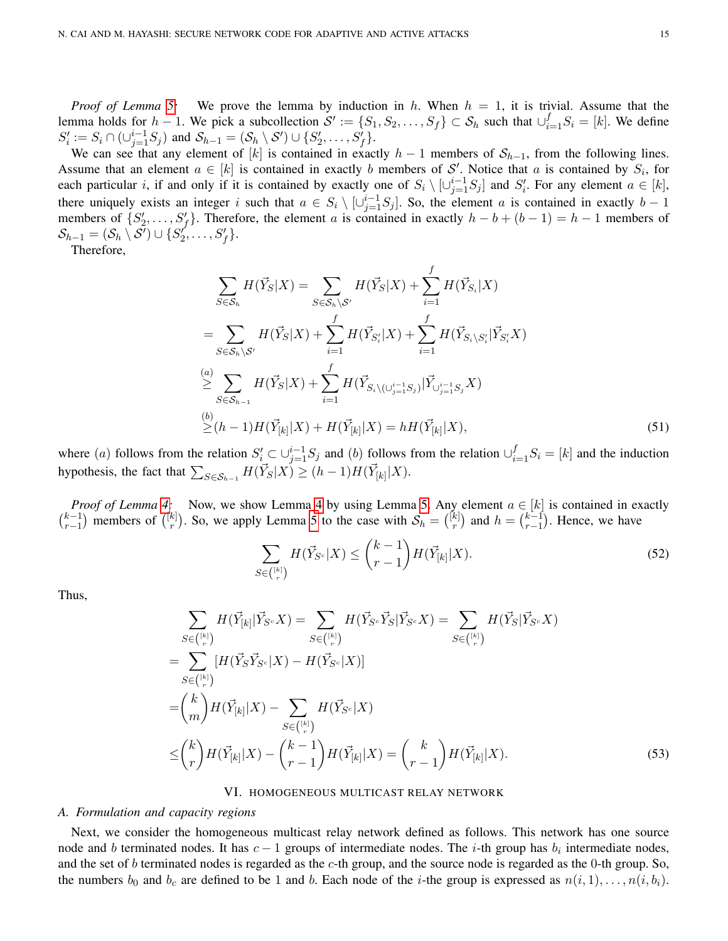*Proof of Lemma [5:](#page-13-2)* We prove the lemma by induction in h. When  $h = 1$ , it is trivial. Assume that the lemma holds for  $h-1$ . We pick a subcollection  $S' := \{S_1, S_2, \ldots, S_f\} \subset S_h$  such that  $\cup_{i=1}^f S_i = [k]$ . We define  $S'_i := S_i \cap (\cup_{j=1}^{i-1} S_j)$  and  $S_{h-1} = (S_h \setminus S') \cup \{S'_2, \ldots, S'_f\}.$ 

We can see that any element of [k] is contained in exactly  $h-1$  members of  $S_{h-1}$ , from the following lines. Assume that an element  $a \in [k]$  is contained in exactly b members of S'. Notice that a is contained by  $S_i$ , for each particular *i*, if and only if it is contained by exactly one of  $S_i \setminus \lfloor \cup_{j=1}^{i-1} S_j \rfloor$  and  $S'_i$ . For any element  $a \in [k]$ , there uniquely exists an integer i such that  $a \in S_i \setminus \{ \bigcup_{j=1}^{i-1} S_j \}$ . So, the element a is contained in exactly  $b-1$ members of  $\{S'_2, \ldots, S'_f\}$ . Therefore, the element a is contained in exactly  $h - b + (b - 1) = h - 1$  members of  $\mathcal{S}_{h-1} = (\mathcal{S}_h \setminus \mathcal{S}') \cup \{S_2^{'} , \ldots, S_f' \}.$ 

Therefore,

$$
\sum_{S \in S_h} H(\vec{Y}_S | X) = \sum_{S \in S_h \setminus S'} H(\vec{Y}_S | X) + \sum_{i=1}^f H(\vec{Y}_{S_i} | X)
$$
  
\n
$$
= \sum_{S \in S_h \setminus S'} H(\vec{Y}_S | X) + \sum_{i=1}^f H(\vec{Y}_{S_i} | X) + \sum_{i=1}^f H(\vec{Y}_{S_i \setminus S_i'} | \vec{Y}_{S_i'} X)
$$
  
\n
$$
\stackrel{(a)}{\geq} \sum_{S \in S_{h-1}} H(\vec{Y}_S | X) + \sum_{i=1}^f H(\vec{Y}_{S_i \setminus (\cup_{j=1}^{i-1} S_j)} | \vec{Y}_{\cup_{j=1}^{i-1} S_j} X)
$$
  
\n
$$
\stackrel{(b)}{\geq} (h-1) H(\vec{Y}_{[k]} | X) + H(\vec{Y}_{[k]} | X) = h H(\vec{Y}_{[k]} | X), \tag{51}
$$

where (a) follows from the relation  $S_i' \subset \bigcup_{j=1}^{i-1} S_j$  and (b) follows from the relation  $\bigcup_{i=1}^{f} S_i = [k]$  and the induction hypothesis, the fact that  $\sum_{S \in \mathcal{S}_{h-1}} H(\vec{Y}_S | X) \ge (h-1) H(\vec{Y}_{[k]} | X)$ .

*Proof of Lemma [4:](#page-13-1)* Now, we show Lemma [4](#page-13-1) by using Lemma [5.](#page-13-2) Any element  $a \in [k]$  is contained in exactly  $\binom{k-1}{n-1}$  $_{r-1}^{k-1})$  members of  $\binom{[k]}{r}$  $\binom{k}{r}$ . So, we apply Lemma [5](#page-13-2) to the case with  $S_h = \binom{[k]}{r}$  $\binom{k}{r}$  and  $h = \binom{k-1}{r-1}$  $_{r-1}^{k-1}$ ). Hence, we have

$$
\sum_{S \in \binom{[k]}{r}} H(\vec{Y}_{S^c} | X) \le \binom{k-1}{r-1} H(\vec{Y}_{[k]} | X). \tag{52}
$$

Thus,

$$
\sum_{S \in \binom{[k]}{r}} H(\vec{Y}_{[k]} | \vec{Y}_{S^c} X) = \sum_{S \in \binom{[k]}{r}} H(\vec{Y}_{S^c} \vec{Y}_S | \vec{Y}_{S^c} X) = \sum_{S \in \binom{[k]}{r}} H(\vec{Y}_S | \vec{Y}_{S^c} X)
$$
\n
$$
= \sum_{S \in \binom{[k]}{r}} [H(\vec{Y}_S \vec{Y}_{S^c} | X) - H(\vec{Y}_{S^c} | X)]
$$
\n
$$
= \binom{k}{m} H(\vec{Y}_{[k]} | X) - \sum_{S \in \binom{[k]}{r}} H(\vec{Y}_{S^c} | X)
$$
\n
$$
\leq \binom{k}{r} H(\vec{Y}_{[k]} | X) - \binom{k-1}{r-1} H(\vec{Y}_{[k]} | X) = \binom{k}{r-1} H(\vec{Y}_{[k]} | X).
$$
\n(53)

# VI. HOMOGENEOUS MULTICAST RELAY NETWORK

#### <span id="page-14-0"></span>*A. Formulation and capacity regions*

Next, we consider the homogeneous multicast relay network defined as follows. This network has one source node and b terminated nodes. It has  $c - 1$  groups of intermediate nodes. The i-th group has  $b_i$  intermediate nodes, and the set of  $b$  terminated nodes is regarded as the  $c$ -th group, and the source node is regarded as the 0-th group. So, the numbers  $b_0$  and  $b_c$  are defined to be 1 and b. Each node of the *i*-the group is expressed as  $n(i, 1), \ldots, n(i, b_i)$ .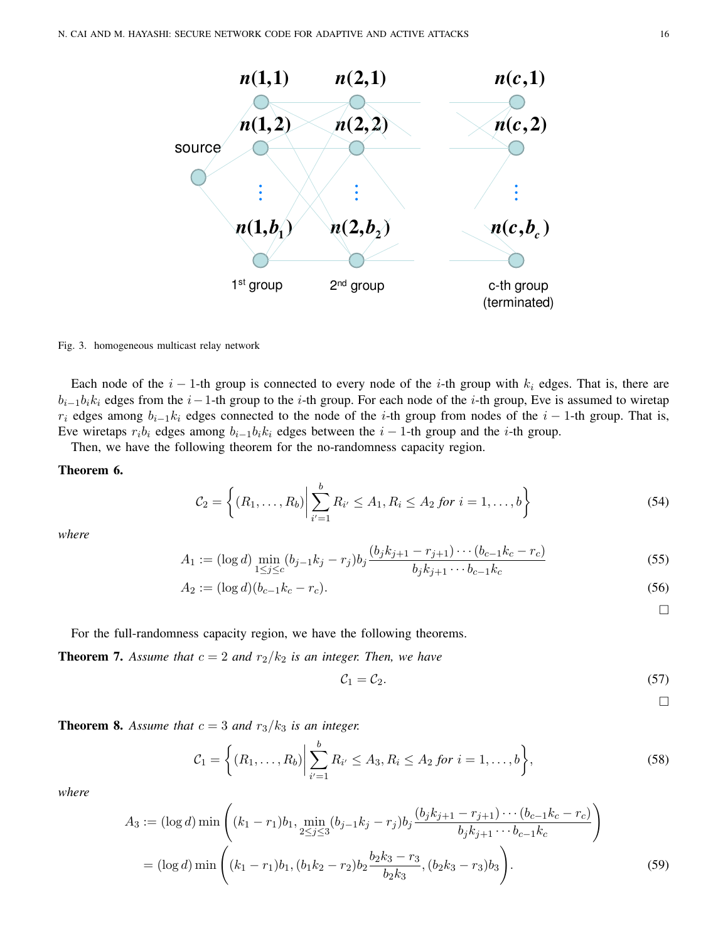

Fig. 3. homogeneous multicast relay network

Each node of the  $i - 1$ -th group is connected to every node of the i-th group with  $k_i$  edges. That is, there are  $b_{i-1}b_ik_i$  edges from the  $i-1$ -th group to the i-th group. For each node of the i-th group, Eve is assumed to wiretap  $r_i$  edges among  $b_{i-1}k_i$  edges connected to the node of the i-th group from nodes of the i − 1-th group. That is, Eve wiretaps  $r_i b_i$  edges among  $b_{i-1}b_i k_i$  edges between the  $i-1$ -th group and the *i*-th group.

Then, we have the following theorem for the no-randomness capacity region.

# <span id="page-15-0"></span>Theorem 6.

$$
C_2 = \left\{ (R_1, \dots, R_b) \middle| \sum_{i'=1}^{b} R_{i'} \le A_1, R_i \le A_2 \text{ for } i = 1, \dots, b \right\}
$$
 (54)

*where*

$$
A_1 := (\log d) \min_{1 \le j \le c} (b_{j-1}k_j - r_j) b_j \frac{(b_jk_{j+1} - r_{j+1}) \cdots (b_{c-1}k_c - r_c)}{b_jk_{j+1} \cdots b_{c-1}k_c} \tag{55}
$$

$$
A_2 := (\log d)(b_{c-1}k_c - r_c). \tag{56}
$$

For the full-randomness capacity region, we have the following theorems.

<span id="page-15-3"></span>**Theorem 7.** Assume that  $c = 2$  and  $r_2/k_2$  is an integer. Then, we have

$$
C_1 = C_2. \tag{57}
$$

<span id="page-15-1"></span> $\Box$ 

<span id="page-15-2"></span> $\Box$ 

<span id="page-15-4"></span>**Theorem 8.** Assume that  $c = 3$  and  $r_3/k_3$  is an integer.

$$
C_1 = \left\{ (R_1, \ldots, R_b) \middle| \sum_{i'=1}^b R_{i'} \le A_3, R_i \le A_2 \text{ for } i = 1, \ldots, b \right\},\tag{58}
$$

*where*

$$
A_3 := (\log d) \min \left( (k_1 - r_1) b_1, \min_{2 \le j \le 3} (b_{j-1} k_j - r_j) b_j \frac{(b_j k_{j+1} - r_{j+1}) \cdots (b_{c-1} k_c - r_c)}{b_j k_{j+1} \cdots b_{c-1} k_c} \right)
$$
  
=  $(\log d) \min \left( (k_1 - r_1) b_1, (b_1 k_2 - r_2) b_2 \frac{b_2 k_3 - r_3}{b_2 k_3}, (b_2 k_3 - r_3) b_3 \right).$  (59)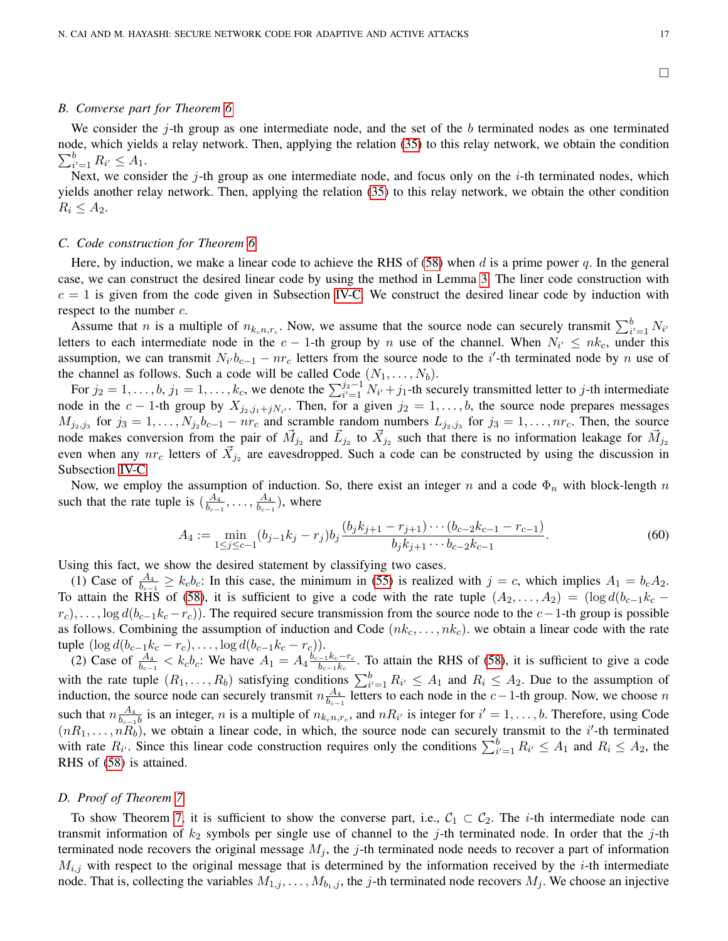$\Box$ 

# <span id="page-16-1"></span>*B. Converse part for Theorem [6](#page-15-0)*

We consider the  $j$ -th group as one intermediate node, and the set of the b terminated nodes as one terminated node, which yields a relay network. Then, applying the relation [\(35\)](#page-8-3) to this relay network, we obtain the condition  $\sum_{i'=1}^{b} R_{i'} \leq A_1.$ 

Next, we consider the  $j$ -th group as one intermediate node, and focus only on the  $i$ -th terminated nodes, which yields another relay network. Then, applying the relation [\(35\)](#page-8-3) to this relay network, we obtain the other condition  $R_i \leq A_2$ .

# *C. Code construction for Theorem [6](#page-15-0)*

Here, by induction, we make a linear code to achieve the RHS of [\(58\)](#page-15-1) when d is a prime power q. In the general case, we can construct the desired linear code by using the method in Lemma [3.](#page-11-1) The liner code construction with  $c = 1$  is given from the code given in Subsection [IV-C.](#page-10-2) We construct the desired linear code by induction with respect to the number  $c$ .

Assume that *n* is a multiple of  $n_{k_c n, r_c}$ . Now, we assume that the source node can securely transmit  $\sum_{i'=1}^{b} N_{i'}$ letters to each intermediate node in the  $c-1$ -th group by n use of the channel. When  $N_{i'} \leq nk_c$ , under this assumption, we can transmit  $N_{i'}b_{c-1} - nr_c$  letters from the source node to the i'-th terminated node by n use of the channel as follows. Such a code will be called Code  $(N_1, \ldots, N_b)$ .

For  $j_2 = 1, \ldots, b, j_1 = 1, \ldots, k_c$ , we denote the  $\sum_{i'=1}^{j_2-1} N_{i'} + j_1$ -th securely transmitted letter to j-th intermediate node in the c – 1-th group by  $X_{j_2,j_1+jN_{i'}}$ . Then, for a given  $j_2 = 1,\ldots,b$ , the source node prepares messages  $M_{j_2,j_3}$  for  $j_3 = 1, \ldots, N_{j_2}b_{c-1} - nr_c$  and scramble random numbers  $L_{j_2,j_3}$  for  $j_3 = 1, \ldots, nr_c$ . Then, the source node makes conversion from the pair of  $\vec{M}_{j_2}$  and  $\vec{L}_{j_2}$  to  $\vec{X}_{j_2}$  such that there is no information leakage for  $\vec{M}_{j_2}$ even when any  $nr_c$  letters of  $\vec{X}_{j_2}$  are eavesdropped. Such a code can be constructed by using the discussion in Subsection [IV-C.](#page-10-2)

Now, we employ the assumption of induction. So, there exist an integer n and a code  $\Phi_n$  with block-length n such that the rate tuple is  $\left(\frac{A_4}{b}\right)$  $\frac{A_4}{b_{c-1}},\ldots,\frac{A_4}{b_{c-1}}$  $\frac{A_4}{b_{c-1}}$ ), where

$$
A_4 := \min_{1 \le j \le c-1} (b_{j-1}k_j - r_j) b_j \frac{(b_jk_{j+1} - r_{j+1}) \cdots (b_{c-2}k_{c-1} - r_{c-1})}{b_jk_{j+1} \cdots b_{c-2}k_{c-1}}.
$$
(60)

Using this fact, we show the desired statement by classifying two cases.

(1) Case of  $\frac{A_4}{b_{c-1}} \ge k_c b_c$ : In this case, the minimum in [\(55\)](#page-15-2) is realized with  $j = c$ , which implies  $A_1 = b_c A_2$ . To attain the RHS of [\(58\)](#page-15-1), it is sufficient to give a code with the rate tuple  $(A_2, \ldots, A_2) = (\log d(b_{c-1}k_c$  $r_c$ ,..., log  $d(b_{c-1}k_c - r_c)$ ). The required secure transmission from the source node to the  $c-1$ -th group is possible as follows. Combining the assumption of induction and Code  $(nk_c, \ldots, nk_c)$ . we obtain a linear code with the rate tuple  $(\log d(b_{c-1}k_c - r_c), \ldots, \log d(b_{c-1}k_c - r_c)).$ 

(2) Case of  $\frac{A_4}{b_{c-1}} < k_c b_c$ : We have  $A_1 = A_4 \frac{b_{c-1}^2 k_c - r_c}{b_{c-1} k_c}$  $\frac{-1}{b_{c-1}k_c}$ . To attain the RHS of [\(58\)](#page-15-1), it is sufficient to give a code with the rate tuple  $(R_1,\ldots,R_b)$  satisfying conditions  $\sum_{i'=1}^b R_{i'} \leq A_1$  and  $R_i \leq A_2$ . Due to the assumption of induction, the source node can securely transmit  $n \frac{A_4}{b_1}$  $\frac{A_4}{b_{c-1}}$  letters to each node in the *c*−1-th group. Now, we choose *n* such that  $n \frac{A_4}{b_1}$  $\frac{A_4}{b_{c-1}b}$  is an integer, *n* is a multiple of  $n_{k_c n, r_c}$ , and  $nR_{i'}$  is integer for  $i' = 1, \ldots, b$ . Therefore, using Code  $(nR_1, \ldots, nR_b)$ , we obtain a linear code, in which, the source node can securely transmit to the i'-th terminated with rate  $R_{i'}$ . Since this linear code construction requires only the conditions  $\sum_{i'=1}^{b} R_{i'} \leq A_1$  and  $R_i \leq A_2$ , the RHS of [\(58\)](#page-15-1) is attained.

# <span id="page-16-0"></span>*D. Proof of Theorem [7](#page-15-3)*

To show Theorem [7,](#page-15-3) it is sufficient to show the converse part, i.e.,  $C_1 \subset C_2$ . The *i*-th intermediate node can transmit information of  $k_2$  symbols per single use of channel to the j-th terminated node. In order that the j-th terminated node recovers the original message  $M_j$ , the j-th terminated node needs to recover a part of information  $M_{i,j}$  with respect to the original message that is determined by the information received by the *i*-th intermediate node. That is, collecting the variables  $M_{1,j}, \ldots, M_{b_1,j}$ , the j-th terminated node recovers  $M_j$ . We choose an injective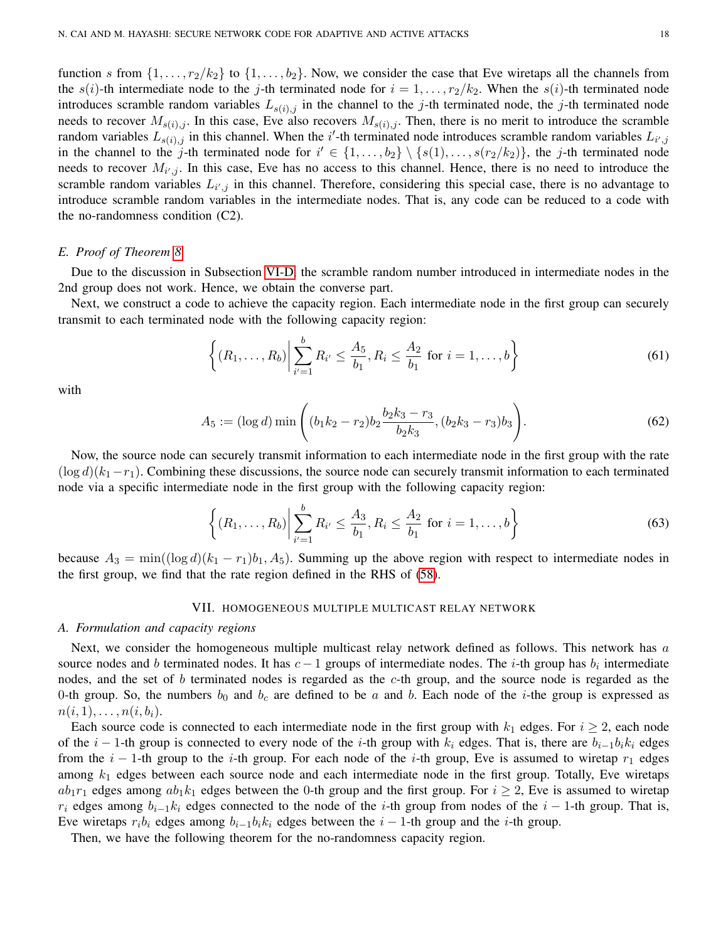function s from  $\{1, \ldots, r_2/k_2\}$  to  $\{1, \ldots, b_2\}$ . Now, we consider the case that Eve wiretaps all the channels from the  $s(i)$ -th intermediate node to the j-th terminated node for  $i = 1, \ldots, r_2/k_2$ . When the  $s(i)$ -th terminated node introduces scramble random variables  $L_{s(i),j}$  in the channel to the j-th terminated node, the j-th terminated node needs to recover  $M_{s(i),j}$ . In this case, Eve also recovers  $M_{s(i),j}$ . Then, there is no merit to introduce the scramble random variables  $L_{s(i),j}$  in this channel. When the i'-th terminated node introduces scramble random variables  $L_{i',j}$ in the channel to the j-th terminated node for  $i' \in \{1, \ldots, b_2\} \setminus \{s(1), \ldots, s(r_2/k_2)\}\)$ , the j-th terminated node needs to recover  $M_{i',j}$ . In this case, Eve has no access to this channel. Hence, there is no need to introduce the scramble random variables  $L_{i',j}$  in this channel. Therefore, considering this special case, there is no advantage to introduce scramble random variables in the intermediate nodes. That is, any code can be reduced to a code with the no-randomness condition (C2).

# *E. Proof of Theorem [8](#page-15-4)*

Due to the discussion in Subsection [VI-D,](#page-16-0) the scramble random number introduced in intermediate nodes in the 2nd group does not work. Hence, we obtain the converse part.

Next, we construct a code to achieve the capacity region. Each intermediate node in the first group can securely transmit to each terminated node with the following capacity region:

<span id="page-17-1"></span>
$$
\left\{ (R_1, \ldots, R_b) \middle| \sum_{i'=1}^b R_{i'} \le \frac{A_5}{b_1}, R_i \le \frac{A_2}{b_1} \text{ for } i = 1, \ldots, b \right\}
$$
 (61)

with

$$
A_5 := (\log d) \min \left( (b_1 k_2 - r_2) b_2 \frac{b_2 k_3 - r_3}{b_2 k_3}, (b_2 k_3 - r_3) b_3 \right). \tag{62}
$$

Now, the source node can securely transmit information to each intermediate node in the first group with the rate  $(\log d)(k_1-r_1)$ . Combining these discussions, the source node can securely transmit information to each terminated node via a specific intermediate node in the first group with the following capacity region:

$$
\left\{ (R_1, \ldots, R_b) \middle| \sum_{i'=1}^b R_{i'} \le \frac{A_3}{b_1}, R_i \le \frac{A_2}{b_1} \text{ for } i = 1, \ldots, b \right\}
$$
 (63)

because  $A_3 = \min((\log d)(k_1 - r_1)b_1, A_5)$ . Summing up the above region with respect to intermediate nodes in the first group, we find that the rate region defined in the RHS of [\(58\)](#page-15-1).

## VII. HOMOGENEOUS MULTIPLE MULTICAST RELAY NETWORK

# <span id="page-17-0"></span>*A. Formulation and capacity regions*

Next, we consider the homogeneous multiple multicast relay network defined as follows. This network has a source nodes and b terminated nodes. It has  $c - 1$  groups of intermediate nodes. The i-th group has  $b_i$  intermediate nodes, and the set of b terminated nodes is regarded as the c-th group, and the source node is regarded as the 0-th group. So, the numbers  $b_0$  and  $b_c$  are defined to be a and b. Each node of the i-the group is expressed as  $n(i, 1), \ldots, n(i, b_i).$ 

Each source code is connected to each intermediate node in the first group with  $k_1$  edges. For  $i \ge 2$ , each node of the i − 1-th group is connected to every node of the i-th group with  $k_i$  edges. That is, there are  $b_{i-1}b_ik_i$  edges from the i – 1-th group to the i-th group. For each node of the i-th group, Eve is assumed to wiretap  $r_1$  edges among  $k_1$  edges between each source node and each intermediate node in the first group. Totally, Eve wiretaps  $ab_1r_1$  edges among  $ab_1k_1$  edges between the 0-th group and the first group. For  $i \geq 2$ , Eve is assumed to wiretap  $r_i$  edges among  $b_{i-1}k_i$  edges connected to the node of the i-th group from nodes of the i − 1-th group. That is, Eve wiretaps  $r_i b_i$  edges among  $b_{i-1}b_i k_i$  edges between the  $i-1$ -th group and the *i*-th group.

Then, we have the following theorem for the no-randomness capacity region.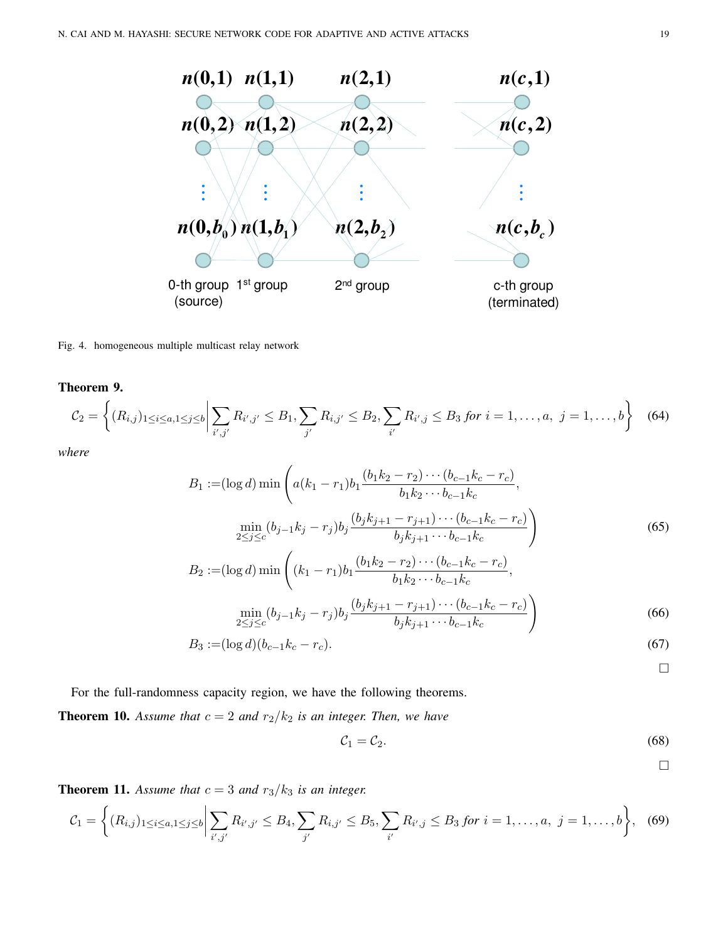

Fig. 4. homogeneous multiple multicast relay network

<span id="page-18-0"></span>Theorem 9.

$$
C_2 = \left\{ (R_{i,j})_{1 \le i \le a, 1 \le j \le b} \middle| \sum_{i',j'} R_{i',j'} \le B_1, \sum_{j'} R_{i,j'} \le B_2, \sum_{i'} R_{i',j} \le B_3 \text{ for } i = 1,\dots,a, \ j = 1,\dots,b \right\}
$$
 (64)

*where*

$$
B_1 := (\log d) \min \left( a(k_1 - r_1) b_1 \frac{(b_1 k_2 - r_2) \cdots (b_{c-1} k_c - r_c)}{b_1 k_2 \cdots b_{c-1} k_c}, \frac{\min}{2 \le j \le c} (b_{j-1} k_j - r_j) b_j \frac{(b_j k_{j+1} - r_{j+1}) \cdots (b_{c-1} k_c - r_c)}{b_j k_{j+1} \cdots b_{c-1} k_c} \right)
$$
\n
$$
B_2 := (\log d) \min \left( (k_1 - r_1) b_1 \frac{(b_1 k_2 - r_2) \cdots (b_{c-1} k_c - r_c)}{b_1 k_1 - b_1 k_2}, \frac{(b_{c-1} k_c - r_c)}{b_1 k_2 - b_2 k_1 - b_2 k_2} \right)
$$
\n(65)

$$
\begin{pmatrix}\n(a_1 & b_1k_2 \cdots b_{c-1}k_c & b_1k_2 \cdots b_{c-1}k_c & b_1k_2 \cdots b_{c-1}k_c & b_1k_2 \cdots b_{c-1}k_c & b_1k_2 \cdots b_{c-1}k_c & b_2k_{j+1} \cdots b_{c-1}k_c\n\end{pmatrix}
$$
\n(66)

$$
B_3 := (\log d)(b_{c-1}k_c - r_c). \tag{67}
$$

<span id="page-18-1"></span> $\Box$ 

For the full-randomness capacity region, we have the following theorems.

<span id="page-18-2"></span>**Theorem 10.** Assume that  $c = 2$  and  $r_2/k_2$  is an integer. Then, we have

$$
C_1 = C_2. \tag{68}
$$

 $\Box$ 

<span id="page-18-3"></span>**Theorem 11.** Assume that  $c = 3$  and  $r_3/k_3$  is an integer.

$$
C_1 = \left\{ (R_{i,j})_{1 \leq i \leq a, 1 \leq j \leq b} \middle| \sum_{i',j'} R_{i',j'} \leq B_4, \sum_{j'} R_{i,j'} \leq B_5, \sum_{i'} R_{i',j} \leq B_3 \text{ for } i = 1,\ldots,a, \ j = 1,\ldots,b \right\}, \tag{69}
$$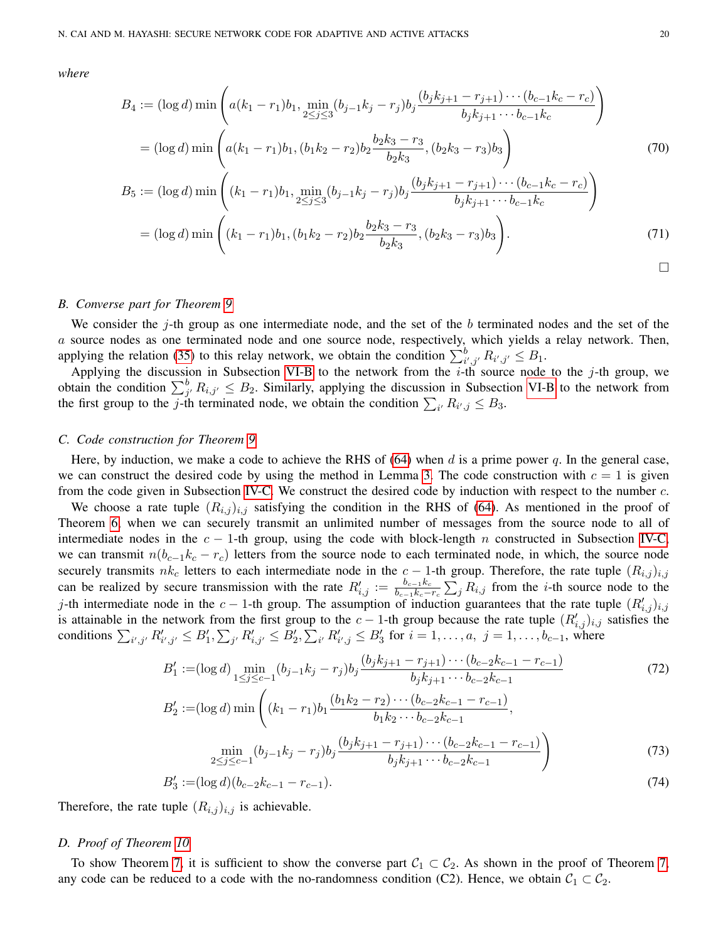*where*

$$
B_4 := (\log d) \min \left( a(k_1 - r_1)b_1, \min_{2 \le j \le 3} (b_{j-1}k_j - r_j)b_j \frac{(b_jk_{j+1} - r_{j+1}) \cdots (b_{c-1}k_c - r_c)}{b_jk_{j+1} \cdots b_{c-1}k_c} \right)
$$
  
\n
$$
= (\log d) \min \left( a(k_1 - r_1)b_1, (b_1k_2 - r_2)b_2 \frac{b_2k_3 - r_3}{b_2k_3}, (b_2k_3 - r_3)b_3 \right)
$$
  
\n
$$
B_5 := (\log d) \min \left( (k_1 - r_1)b_1, \min_{2 \le j \le 3} (b_{j-1}k_j - r_j)b_j \frac{(b_jk_{j+1} - r_{j+1}) \cdots (b_{c-1}k_c - r_c)}{b_jk_{j+1} \cdots b_{c-1}k_c} \right)
$$
  
\n
$$
= (\log d) \min \left( (k_1 - r_1)b_1, (b_1k_2 - r_2)b_2 \frac{b_2k_3 - r_3}{b_2k_3}, (b_2k_3 - r_3)b_3 \right).
$$
\n(71)

 $\Box$ 

#### *B. Converse part for Theorem [9](#page-18-0)*

We consider the j-th group as one intermediate node, and the set of the b terminated nodes and the set of the a source nodes as one terminated node and one source node, respectively, which yields a relay network. Then, applying the relation [\(35\)](#page-8-3) to this relay network, we obtain the condition  $\sum_{i',j'}^{b} R_{i',j'} \leq B_1$ .

Applying the discussion in Subsection [VI-B](#page-16-1) to the network from the  $i$ -th source node to the j-th group, we obtain the condition  $\sum_{j'}^{b} R_{i,j'} \leq B_2$ . Similarly, applying the discussion in Subsection [VI-B](#page-16-1) to the network from the first group to the *j*-th terminated node, we obtain the condition  $\sum_{i'} R_{i',j} \leq B_3$ .

## *C. Code construction for Theorem [9](#page-18-0)*

Here, by induction, we make a code to achieve the RHS of [\(64\)](#page-18-1) when d is a prime power q. In the general case, we can construct the desired code by using the method in Lemma [3.](#page-11-1) The code construction with  $c = 1$  is given from the code given in Subsection [IV-C.](#page-10-2) We construct the desired code by induction with respect to the number c.

We choose a rate tuple  $(R_{i,j})_{i,j}$  satisfying the condition in the RHS of [\(64\)](#page-18-1). As mentioned in the proof of Theorem [6,](#page-15-0) when we can securely transmit an unlimited number of messages from the source node to all of intermediate nodes in the  $c - 1$ -th group, using the code with block-length n constructed in Subsection [IV-C,](#page-10-2) we can transmit  $n(b_{c-1}k_c - r_c)$  letters from the source node to each terminated node, in which, the source node securely transmits  $nk_c$  letters to each intermediate node in the  $c-1$ -th group. Therefore, the rate tuple  $(R_{i,j})_{i,j}$ can be realized by secure transmission with the rate  $R'_{i,j} := \frac{b_{c-1}k_c}{b_{c-1}k_c}$  $\frac{b_{c-1}k_c}{b_{c-1}k_c-r_c}\sum_j R_{i,j}$  from the *i*-th source node to the j-th intermediate node in the  $c - 1$ -th group. The assumption of induction guarantees that the rate tuple  $(R'_{i,j})_{i,j}$ is attainable in the network from the first group to the  $c-1$ -th group because the rate tuple  $(R'_{i,j})_{i,j}$  satisfies the conditions  $\sum_{i',j'} R'_{i',j'} \leq B'_1, \sum_{j'} R'_{i,j'} \leq B'_2, \sum_{i'} R'_{i',j} \leq B'_3$  for  $i = 1, ..., a, j = 1, ..., b_{c-1}$ , where

$$
B'_{1} := (\log d) \min_{1 \leq j \leq c-1} (b_{j-1}k_{j} - r_{j})b_{j} \frac{(b_{j}k_{j+1} - r_{j+1}) \cdots (b_{c-2}k_{c-1} - r_{c-1})}{b_{j}k_{j+1} \cdots b_{c-2}k_{c-1}} \tag{72}
$$
  
\n
$$
B'_{2} := (\log d) \min \left( (k_{1} - r_{1})b_{1} \frac{(b_{1}k_{2} - r_{2}) \cdots (b_{c-2}k_{c-1} - r_{c-1})}{b_{1}k_{2} \cdots b_{c-2}k_{c-1}}, \right)
$$
  
\n
$$
\min_{2 \leq j \leq c-1} (b_{j-1}k_{j} - r_{j})b_{j} \frac{(b_{j}k_{j+1} - r_{j+1}) \cdots (b_{c-2}k_{c-1} - r_{c-1})}{b_{j}k_{j+1} \cdots b_{c-2}k_{c-1}} \right)
$$
 (73)

$$
B'_3 := (\log d)(b_{c-2}k_{c-1} - r_{c-1}).
$$
\n(74)

Therefore, the rate tuple  $(R_{i,j})_{i,j}$  is achievable.

## *D. Proof of Theorem [10](#page-18-2)*

To show Theorem [7,](#page-15-3) it is sufficient to show the converse part  $C_1 \subset C_2$ . As shown in the proof of Theorem 7, any code can be reduced to a code with the no-randomness condition (C2). Hence, we obtain  $C_1 \subset C_2$ .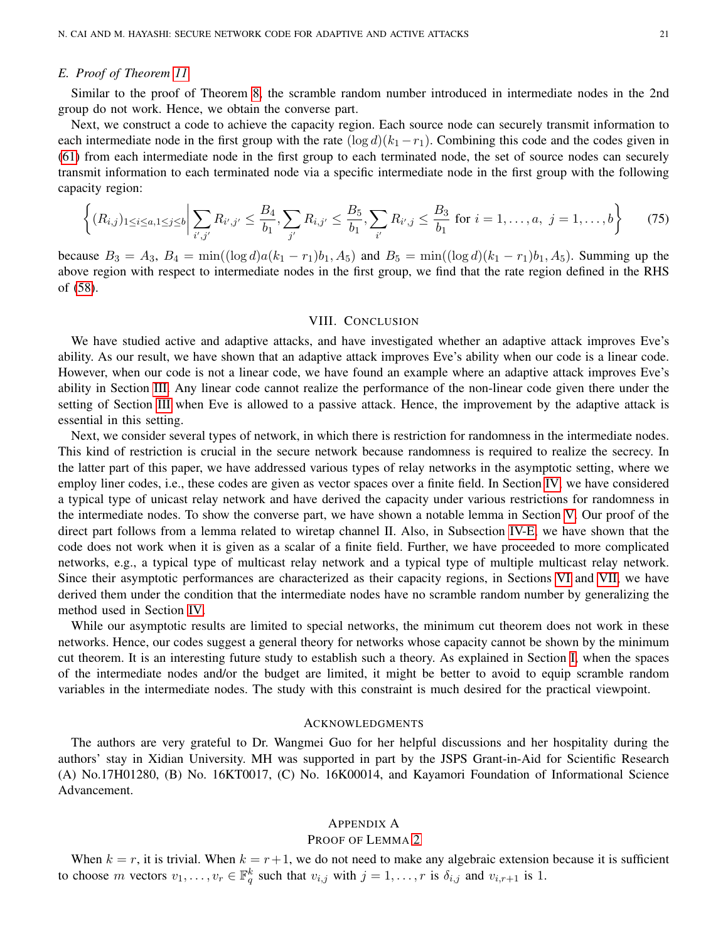# *E. Proof of Theorem [11](#page-18-3)*

Similar to the proof of Theorem [8,](#page-15-4) the scramble random number introduced in intermediate nodes in the 2nd group do not work. Hence, we obtain the converse part.

Next, we construct a code to achieve the capacity region. Each source node can securely transmit information to each intermediate node in the first group with the rate  $(\log d)(k_1 - r_1)$ . Combining this code and the codes given in [\(61\)](#page-17-1) from each intermediate node in the first group to each terminated node, the set of source nodes can securely transmit information to each terminated node via a specific intermediate node in the first group with the following capacity region:

$$
\left\{ (R_{i,j})_{1 \leq i \leq a, 1 \leq j \leq b} \middle| \sum_{i',j'} R_{i',j'} \leq \frac{B_4}{b_1}, \sum_{j'} R_{i,j'} \leq \frac{B_5}{b_1}, \sum_{i'} R_{i',j} \leq \frac{B_3}{b_1} \text{ for } i = 1,\dots,a, \ j = 1,\dots,b \right\}
$$
(75)

because  $B_3 = A_3$ ,  $B_4 = \min((\log d)a(k_1 - r_1)b_1, A_5)$  and  $B_5 = \min((\log d)(k_1 - r_1)b_1, A_5)$ . Summing up the above region with respect to intermediate nodes in the first group, we find that the rate region defined in the RHS of [\(58\)](#page-15-1).

# VIII. CONCLUSION

We have studied active and adaptive attacks, and have investigated whether an adaptive attack improves Eve's ability. As our result, we have shown that an adaptive attack improves Eve's ability when our code is a linear code. However, when our code is not a linear code, we have found an example where an adaptive attack improves Eve's ability in Section [III.](#page-6-0) Any linear code cannot realize the performance of the non-linear code given there under the setting of Section [III](#page-6-0) when Eve is allowed to a passive attack. Hence, the improvement by the adaptive attack is essential in this setting.

Next, we consider several types of network, in which there is restriction for randomness in the intermediate nodes. This kind of restriction is crucial in the secure network because randomness is required to realize the secrecy. In the latter part of this paper, we have addressed various types of relay networks in the asymptotic setting, where we employ liner codes, i.e., these codes are given as vector spaces over a finite field. In Section [IV,](#page-7-0) we have considered a typical type of unicast relay network and have derived the capacity under various restrictions for randomness in the intermediate nodes. To show the converse part, we have shown a notable lemma in Section [V.](#page-13-0) Our proof of the direct part follows from a lemma related to wiretap channel II. Also, in Subsection [IV-E,](#page-12-0) we have shown that the code does not work when it is given as a scalar of a finite field. Further, we have proceeded to more complicated networks, e.g., a typical type of multicast relay network and a typical type of multiple multicast relay network. Since their asymptotic performances are characterized as their capacity regions, in Sections [VI](#page-14-0) and [VII,](#page-17-0) we have derived them under the condition that the intermediate nodes have no scramble random number by generalizing the method used in Section [IV.](#page-7-0)

While our asymptotic results are limited to special networks, the minimum cut theorem does not work in these networks. Hence, our codes suggest a general theory for networks whose capacity cannot be shown by the minimum cut theorem. It is an interesting future study to establish such a theory. As explained in Section [I,](#page-0-0) when the spaces of the intermediate nodes and/or the budget are limited, it might be better to avoid to equip scramble random variables in the intermediate nodes. The study with this constraint is much desired for the practical viewpoint.

# ACKNOWLEDGMENTS

The authors are very grateful to Dr. Wangmei Guo for her helpful discussions and her hospitality during the authors' stay in Xidian University. MH was supported in part by the JSPS Grant-in-Aid for Scientific Research (A) No.17H01280, (B) No. 16KT0017, (C) No. 16K00014, and Kayamori Foundation of Informational Science Advancement.

# <span id="page-20-0"></span>APPENDIX A

# PROOF OF LEMMA [2](#page-10-1)

When  $k = r$ , it is trivial. When  $k = r + 1$ , we do not need to make any algebraic extension because it is sufficient to choose m vectors  $v_1, \ldots, v_r \in \mathbb{F}_q^k$  such that  $v_{i,j}$  with  $j = 1, \ldots, r$  is  $\delta_{i,j}$  and  $v_{i,r+1}$  is 1.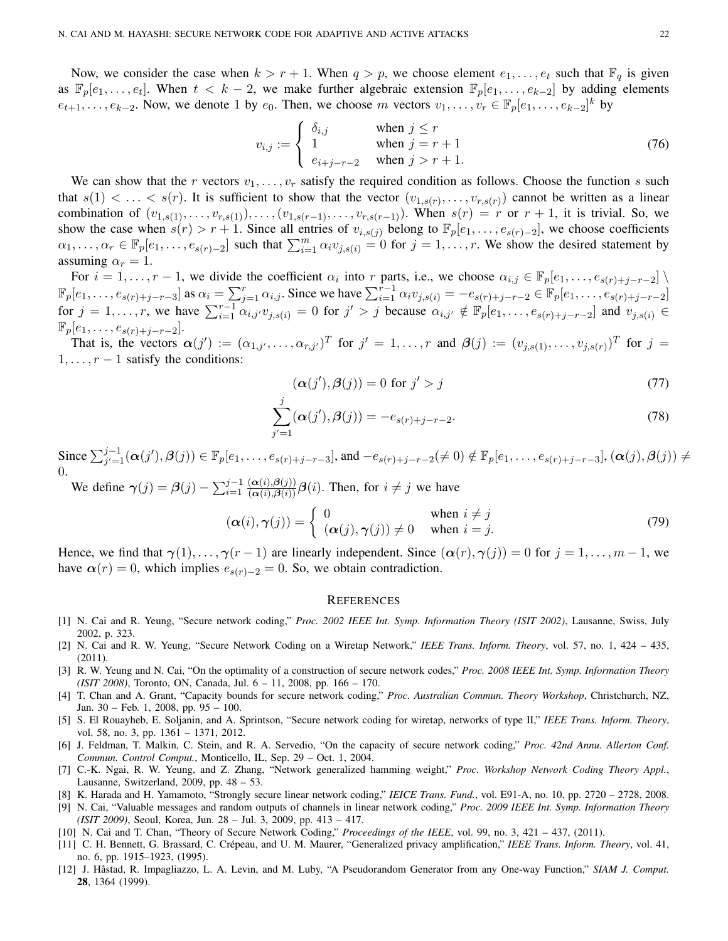Now, we consider the case when  $k > r + 1$ . When  $q > p$ , we choose element  $e_1, \ldots, e_t$  such that  $\mathbb{F}_q$  is given as  $\mathbb{F}_p[e_1,\ldots,e_t]$ . When  $t < k-2$ , we make further algebraic extension  $\mathbb{F}_p[e_1,\ldots,e_{k-2}]$  by adding elements  $e_{t+1}, \ldots, e_{k-2}$ . Now, we denote 1 by  $e_0$ . Then, we choose m vectors  $v_1, \ldots, v_r \in \mathbb{F}_p[e_1, \ldots, e_{k-2}]^k$  by

$$
v_{i,j} := \begin{cases} \n\delta_{i,j} & \text{when } j \le r \\ \n1 & \text{when } j = r + 1 \\ \n\epsilon_{i+j-r-2} & \text{when } j > r + 1. \n\end{cases} \tag{76}
$$

We can show that the r vectors  $v_1, \ldots, v_r$  satisfy the required condition as follows. Choose the function s such that  $s(1) < \ldots < s(r)$ . It is sufficient to show that the vector  $(v_{1,s(r)}, \ldots, v_{r,s(r)})$  cannot be written as a linear combination of  $(v_{1,s(1)},...,v_{r,s(1)}),..., (v_{1,s(r-1)},...,v_{r,s(r-1)}).$  When  $s(r) = r$  or  $r + 1$ , it is trivial. So, we show the case when  $s(r) > r + 1$ . Since all entries of  $v_{i,s(j)}$  belong to  $\mathbb{F}_p[e_1, \ldots, e_{s(r)-2}]$ , we choose coefficients  $\alpha_1, \ldots, \alpha_r \in \mathbb{F}_p[e_1, \ldots, e_{s(r)-2}]$  such that  $\sum_{i=1}^m \alpha_i v_{j,s(i)} = 0$  for  $j = 1, \ldots, r$ . We show the desired statement by assuming  $\alpha_r = 1$ .

For  $i = 1, \ldots, r - 1$ , we divide the coefficient  $\alpha_i$  into r parts, i.e., we choose  $\alpha_{i,j} \in \mathbb{F}_p[e_1, \ldots, e_{s(r)+j-r-2}]$  $\mathbb{F}_p[e_1, \ldots, e_{s(r)+j-r-3}]$  as  $\alpha_i = \sum_{j=1}^r \alpha_{i,j}$ . Since we have  $\sum_{i=1}^{r-1} \alpha_i v_{j,s(i)} = -e_{s(r)+j-r-2} \in \mathbb{F}_p[e_1, \ldots, e_{s(r)+j-r-2}]$ for  $j = 1, \ldots, r$ , we have  $\sum_{i=1}^{r-1} \alpha_{i,j'} v_{j,s(i)} = 0$  for  $j' > j$  because  $\alpha_{i,j'} \notin \mathbb{F}_p[e_1, \ldots, e_{s(r)+j-r-2}]$  and  $v_{j,s(i)} \in$  $\mathbb{F}_p[e_1,\ldots,e_{s(r)+j-r-2}].$ 

That is, the vectors  $\alpha(j') := (\alpha_{1,j'}, \ldots, \alpha_{r,j'})^T$  for  $j' = 1, \ldots, r$  and  $\beta(j) := (v_{j,s(1)}, \ldots, v_{j,s(r)})^T$  for  $j =$  $1, \ldots, r-1$  satisfy the conditions:

$$
(\alpha(j'), \beta(j)) = 0 \text{ for } j' > j \tag{77}
$$

$$
\sum_{j'=1}^{j} (\alpha(j'), \beta(j)) = -e_{s(r)+j-r-2}.
$$
\n(78)

Since  $\sum_{j'=1}^{j-1} (\alpha(j'), \beta(j)) \in \mathbb{F}_p[e_1, \ldots, e_{s(r)+j-r-3}]$ , and  $-e_{s(r)+j-r-2} (\neq 0) \notin \mathbb{F}_p[e_1, \ldots, e_{s(r)+j-r-3}]$ ,  $(\alpha(j), \beta(j)) \neq j$ 0.

We define  $\gamma(j) = \beta(j) - \sum_{i=1}^{j-1}$  $\frac{(\alpha(i),\beta(j))}{(\alpha(i),\beta(i))}\beta(i)$ . Then, for  $i \neq j$  we have

$$
(\alpha(i), \gamma(j)) = \begin{cases} 0 & \text{when } i \neq j \\ (\alpha(j), \gamma(j)) \neq 0 & \text{when } i = j. \end{cases}
$$
 (79)

Hence, we find that  $\gamma(1), \ldots, \gamma(r-1)$  are linearly independent. Since  $(\alpha(r), \gamma(j)) = 0$  for  $j = 1, \ldots, m-1$ , we have  $\alpha(r) = 0$ , which implies  $e_{s(r)-2} = 0$ . So, we obtain contradiction.

#### **REFERENCES**

- <span id="page-21-0"></span>[1] N. Cai and R. Yeung, "Secure network coding," *Proc. 2002 IEEE Int. Symp. Information Theory (ISIT 2002)*, Lausanne, Swiss, July 2002, p. 323.
- <span id="page-21-1"></span>[2] N. Cai and R. W. Yeung, "Secure Network Coding on a Wiretap Network," *IEEE Trans. Inform. Theory*, vol. 57, no. 1, 424 – 435, (2011).
- <span id="page-21-2"></span>[3] R. W. Yeung and N. Cai, "On the optimality of a construction of secure network codes," *Proc. 2008 IEEE Int. Symp. Information Theory (ISIT 2008)*, Toronto, ON, Canada, Jul. 6 – 11, 2008, pp. 166 – 170.
- <span id="page-21-3"></span>[4] T. Chan and A. Grant, "Capacity bounds for secure network coding," *Proc. Australian Commun. Theory Workshop*, Christchurch, NZ, Jan. 30 – Feb. 1, 2008, pp. 95 – 100.
- <span id="page-21-4"></span>[5] S. El Rouayheb, E. Soljanin, and A. Sprintson, "Secure network coding for wiretap, networks of type II," *IEEE Trans. Inform. Theory*, vol. 58, no. 3, pp. 1361 – 1371, 2012.
- <span id="page-21-5"></span>[6] J. Feldman, T. Malkin, C. Stein, and R. A. Servedio, "On the capacity of secure network coding," *Proc. 42nd Annu. Allerton Conf. Commun. Control Comput.*, Monticello, IL, Sep. 29 – Oct. 1, 2004.
- <span id="page-21-6"></span>[7] C.-K. Ngai, R. W. Yeung, and Z. Zhang, "Network generalized hamming weight," *Proc. Workshop Network Coding Theory Appl.*, Lausanne, Switzerland, 2009, pp. 48 – 53.
- <span id="page-21-7"></span>[8] K. Harada and H. Yamamoto, "Strongly secure linear network coding," *IEICE Trans. Fund.*, vol. E91-A, no. 10, pp. 2720 – 2728, 2008.
- <span id="page-21-8"></span>[9] N. Cai, "Valuable messages and random outputs of channels in linear network coding," *Proc. 2009 IEEE Int. Symp. Information Theory (ISIT 2009)*, Seoul, Korea, Jun. 28 – Jul. 3, 2009, pp. 413 – 417.
- <span id="page-21-9"></span>[10] N. Cai and T. Chan, "Theory of Secure Network Coding," *Proceedings of the IEEE*, vol. 99, no. 3, 421 – 437, (2011).
- <span id="page-21-10"></span>[11] C. H. Bennett, G. Brassard, C. Crépeau, and U. M. Maurer, "Generalized privacy amplification," IEEE Trans. Inform. Theory, vol. 41, no. 6, pp. 1915–1923, (1995).
- <span id="page-21-11"></span>[12] J. Håstad, R. Impagliazzo, L. A. Levin, and M. Luby, "A Pseudorandom Generator from any One-way Function," SIAM J. Comput. 28, 1364 (1999).